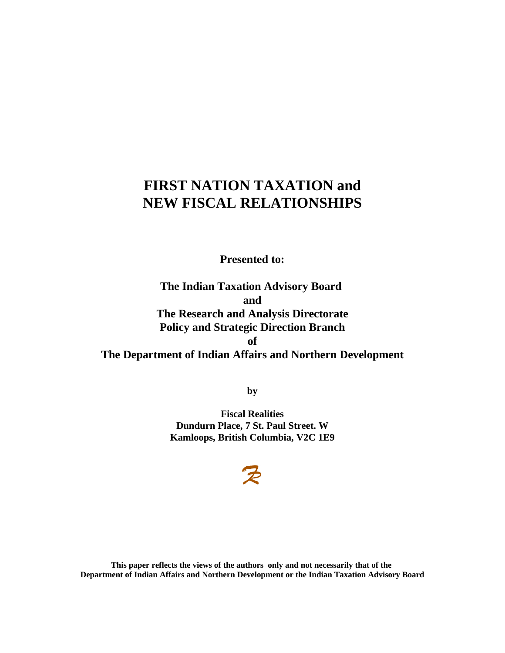# **FIRST NATION TAXATION and NEW FISCAL RELATIONSHIPS**

**Presented to:**

**The Indian Taxation Advisory Board and The Research and Analysis Directorate Policy and Strategic Direction Branch of The Department of Indian Affairs and Northern Development**

**by**

**Fiscal Realities Dundurn Place, 7 St. Paul Street. W Kamloops, British Columbia, V2C 1E9**

# $\mathcal{P}$

**This paper reflects the views of the authors only and not necessarily that of the Department of Indian Affairs and Northern Development or the Indian Taxation Advisory Board**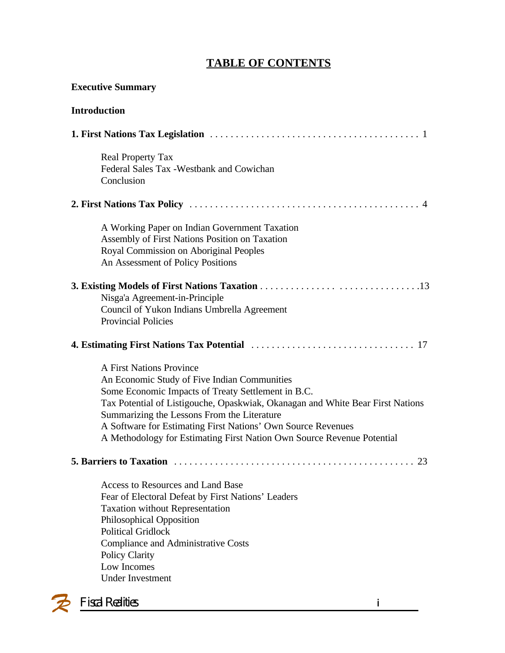# **TABLE OF CONTENTS**

| <b>Executive Summary</b>                                                                                                                                                                                                                                                                                                                                                                                         |
|------------------------------------------------------------------------------------------------------------------------------------------------------------------------------------------------------------------------------------------------------------------------------------------------------------------------------------------------------------------------------------------------------------------|
| <b>Introduction</b>                                                                                                                                                                                                                                                                                                                                                                                              |
|                                                                                                                                                                                                                                                                                                                                                                                                                  |
| <b>Real Property Tax</b><br>Federal Sales Tax - Westbank and Cowichan<br>Conclusion                                                                                                                                                                                                                                                                                                                              |
|                                                                                                                                                                                                                                                                                                                                                                                                                  |
| A Working Paper on Indian Government Taxation<br>Assembly of First Nations Position on Taxation<br>Royal Commission on Aboriginal Peoples<br>An Assessment of Policy Positions                                                                                                                                                                                                                                   |
| Nisga'a Agreement-in-Principle<br>Council of Yukon Indians Umbrella Agreement<br><b>Provincial Policies</b>                                                                                                                                                                                                                                                                                                      |
|                                                                                                                                                                                                                                                                                                                                                                                                                  |
| <b>A First Nations Province</b><br>An Economic Study of Five Indian Communities<br>Some Economic Impacts of Treaty Settlement in B.C.<br>Tax Potential of Listigouche, Opaskwiak, Okanagan and White Bear First Nations<br>Summarizing the Lessons From the Literature<br>A Software for Estimating First Nations' Own Source Revenues<br>A Methodology for Estimating First Nation Own Source Revenue Potential |
| 23                                                                                                                                                                                                                                                                                                                                                                                                               |
| Access to Resources and Land Base<br>Fear of Electoral Defeat by First Nations' Leaders<br><b>Taxation without Representation</b><br>Philosophical Opposition<br><b>Political Gridlock</b><br><b>Compliance and Administrative Costs</b><br><b>Policy Clarity</b><br>Low Incomes<br><b>Under Investment</b>                                                                                                      |
| <b>Fiscal Realities</b><br>j                                                                                                                                                                                                                                                                                                                                                                                     |

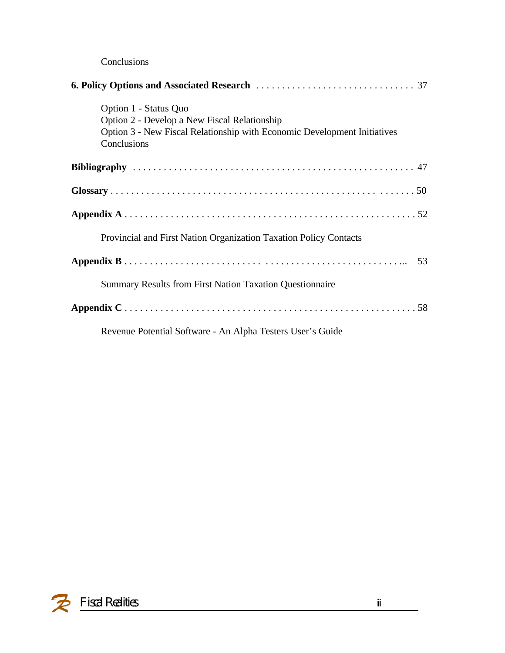### Conclusions

| Option 1 - Status Quo<br>Option 2 - Develop a New Fiscal Relationship<br>Option 3 - New Fiscal Relationship with Economic Development Initiatives<br>Conclusions |    |
|------------------------------------------------------------------------------------------------------------------------------------------------------------------|----|
|                                                                                                                                                                  |    |
|                                                                                                                                                                  |    |
|                                                                                                                                                                  |    |
| Provincial and First Nation Organization Taxation Policy Contacts                                                                                                |    |
|                                                                                                                                                                  | 53 |
| <b>Summary Results from First Nation Taxation Questionnaire</b>                                                                                                  |    |
|                                                                                                                                                                  |    |
| Revenue Potential Software - An Alpha Testers User's Guide                                                                                                       |    |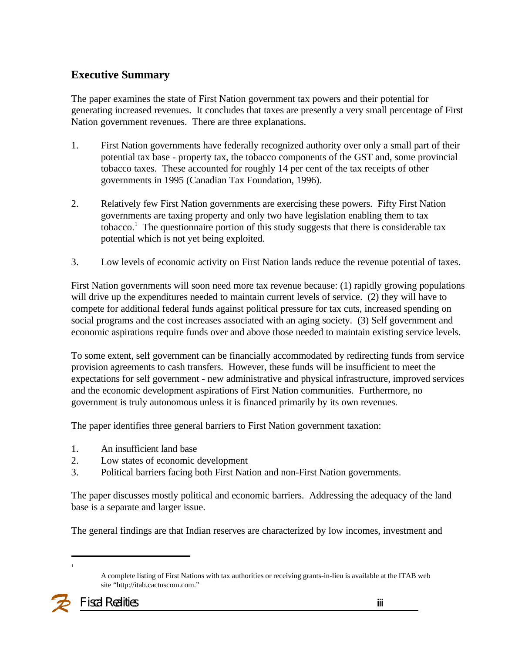### **Executive Summary**

The paper examines the state of First Nation government tax powers and their potential for generating increased revenues. It concludes that taxes are presently a very small percentage of First Nation government revenues. There are three explanations.

- 1. First Nation governments have federally recognized authority over only a small part of their potential tax base - property tax, the tobacco components of the GST and, some provincial tobacco taxes. These accounted for roughly 14 per cent of the tax receipts of other governments in 1995 (Canadian Tax Foundation, 1996).
- 2. Relatively few First Nation governments are exercising these powers. Fifty First Nation governments are taxing property and only two have legislation enabling them to tax tobacco.<sup>1</sup> The questionnaire portion of this study suggests that there is considerable tax potential which is not yet being exploited.
- 3. Low levels of economic activity on First Nation lands reduce the revenue potential of taxes.

First Nation governments will soon need more tax revenue because: (1) rapidly growing populations will drive up the expenditures needed to maintain current levels of service. (2) they will have to compete for additional federal funds against political pressure for tax cuts, increased spending on social programs and the cost increases associated with an aging society. (3) Self government and economic aspirations require funds over and above those needed to maintain existing service levels.

To some extent, self government can be financially accommodated by redirecting funds from service provision agreements to cash transfers. However, these funds will be insufficient to meet the expectations for self government - new administrative and physical infrastructure, improved services and the economic development aspirations of First Nation communities. Furthermore, no government is truly autonomous unless it is financed primarily by its own revenues.

The paper identifies three general barriers to First Nation government taxation:

- 1. An insufficient land base
- 2. Low states of economic development
- 3. Political barriers facing both First Nation and non-First Nation governments.

The paper discusses mostly political and economic barriers. Addressing the adequacy of the land base is a separate and larger issue.

The general findings are that Indian reserves are characterized by low incomes, investment and

1

A complete listing of First Nations with tax authorities or receiving grants-in-lieu is available at the ITAB web site "http://itab.cactuscom.com."

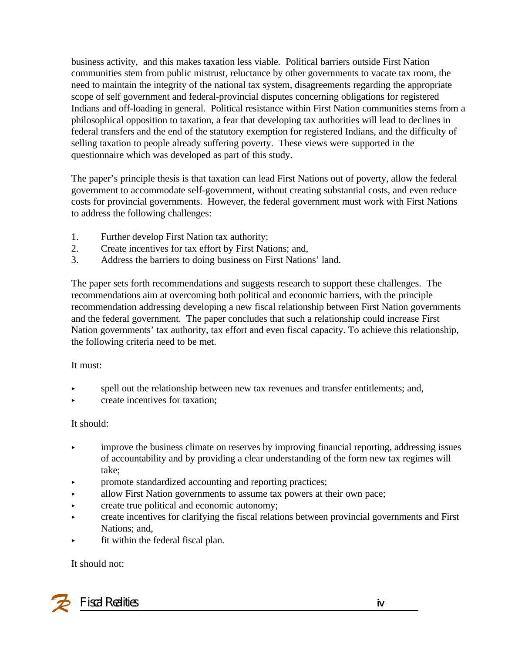business activity, and this makes taxation less viable. Political barriers outside First Nation communities stem from public mistrust, reluctance by other governments to vacate tax room, the need to maintain the integrity of the national tax system, disagreements regarding the appropriate scope of self government and federal-provincial disputes concerning obligations for registered Indians and off-loading in general. Political resistance within First Nation communities stems from a philosophical opposition to taxation, a fear that developing tax authorities will lead to declines in federal transfers and the end of the statutory exemption for registered Indians, and the difficulty of selling taxation to people already suffering poverty. These views were supported in the questionnaire which was developed as part of this study.

The paper's principle thesis is that taxation can lead First Nations out of poverty, allow the federal government to accommodate self-government, without creating substantial costs, and even reduce costs for provincial governments. However, the federal government must work with First Nations to address the following challenges:

- 1. Further develop First Nation tax authority;
- 2. Create incentives for tax effort by First Nations; and,
- 3. Address the barriers to doing business on First Nations' land.

The paper sets forth recommendations and suggests research to support these challenges. The recommendations aim at overcoming both political and economic barriers, with the principle recommendation addressing developing a new fiscal relationship between First Nation governments and the federal government. The paper concludes that such a relationship could increase First Nation governments' tax authority, tax effort and even fiscal capacity. To achieve this relationship, the following criteria need to be met.

#### It must:

- spell out the relationship between new tax revenues and transfer entitlements; and,
- < create incentives for taxation;

#### It should:

- improve the business climate on reserves by improving financial reporting, addressing issues of accountability and by providing a clear understanding of the form new tax regimes will take;
- < promote standardized accounting and reporting practices;
- allow First Nation governments to assume tax powers at their own pace;
- < create true political and economic autonomy;
- < create incentives for clarifying the fiscal relations between provincial governments and First Nations; and,
- fit within the federal fiscal plan.

#### It should not:

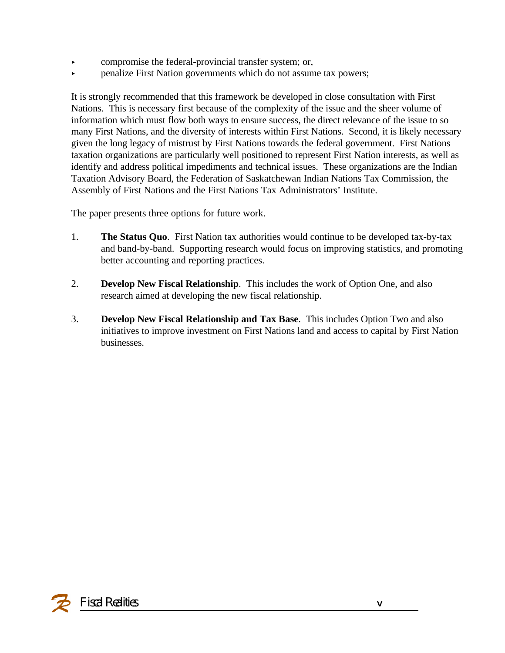- $\triangleright$  compromise the federal-provincial transfer system; or,
- < penalize First Nation governments which do not assume tax powers;

It is strongly recommended that this framework be developed in close consultation with First Nations. This is necessary first because of the complexity of the issue and the sheer volume of information which must flow both ways to ensure success, the direct relevance of the issue to so many First Nations, and the diversity of interests within First Nations. Second, it is likely necessary given the long legacy of mistrust by First Nations towards the federal government. First Nations taxation organizations are particularly well positioned to represent First Nation interests, as well as identify and address political impediments and technical issues. These organizations are the Indian Taxation Advisory Board, the Federation of Saskatchewan Indian Nations Tax Commission, the Assembly of First Nations and the First Nations Tax Administrators' Institute.

The paper presents three options for future work.

- 1. **The Status Quo**. First Nation tax authorities would continue to be developed tax-by-tax and band-by-band. Supporting research would focus on improving statistics, and promoting better accounting and reporting practices.
- 2. **Develop New Fiscal Relationship**. This includes the work of Option One, and also research aimed at developing the new fiscal relationship.
- 3. **Develop New Fiscal Relationship and Tax Base**. This includes Option Two and also initiatives to improve investment on First Nations land and access to capital by First Nation businesses.

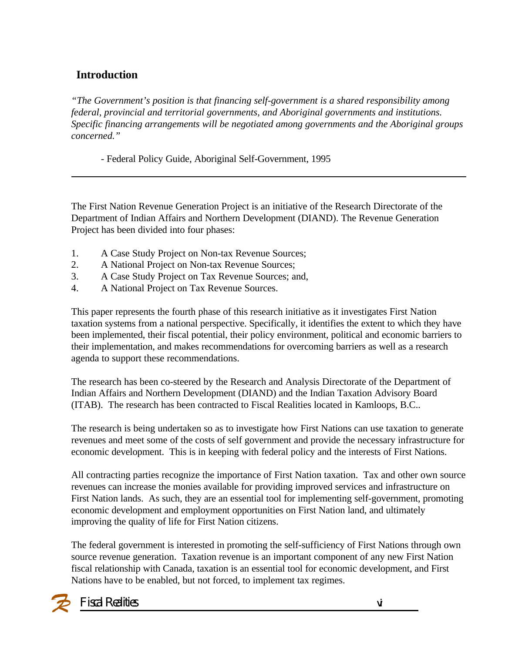### **Introduction**

*"The Government's position is that financing self-government is a shared responsibility among federal, provincial and territorial governments, and Aboriginal governments and institutions. Specific financing arrangements will be negotiated among governments and the Aboriginal groups concerned."*

- Federal Policy Guide, Aboriginal Self-Government, 1995

The First Nation Revenue Generation Project is an initiative of the Research Directorate of the Department of Indian Affairs and Northern Development (DIAND). The Revenue Generation Project has been divided into four phases:

- 1. A Case Study Project on Non-tax Revenue Sources;
- 2. A National Project on Non-tax Revenue Sources;
- 3. A Case Study Project on Tax Revenue Sources; and,
- 4. A National Project on Tax Revenue Sources.

This paper represents the fourth phase of this research initiative as it investigates First Nation taxation systems from a national perspective. Specifically, it identifies the extent to which they have been implemented, their fiscal potential, their policy environment, political and economic barriers to their implementation, and makes recommendations for overcoming barriers as well as a research agenda to support these recommendations.

The research has been co-steered by the Research and Analysis Directorate of the Department of Indian Affairs and Northern Development (DIAND) and the Indian Taxation Advisory Board (ITAB). The research has been contracted to Fiscal Realities located in Kamloops, B.C..

The research is being undertaken so as to investigate how First Nations can use taxation to generate revenues and meet some of the costs of self government and provide the necessary infrastructure for economic development. This is in keeping with federal policy and the interests of First Nations.

All contracting parties recognize the importance of First Nation taxation. Tax and other own source revenues can increase the monies available for providing improved services and infrastructure on First Nation lands. As such, they are an essential tool for implementing self-government, promoting economic development and employment opportunities on First Nation land, and ultimately improving the quality of life for First Nation citizens.

The federal government is interested in promoting the self-sufficiency of First Nations through own source revenue generation. Taxation revenue is an important component of any new First Nation fiscal relationship with Canada, taxation is an essential tool for economic development, and First Nations have to be enabled, but not forced, to implement tax regimes.

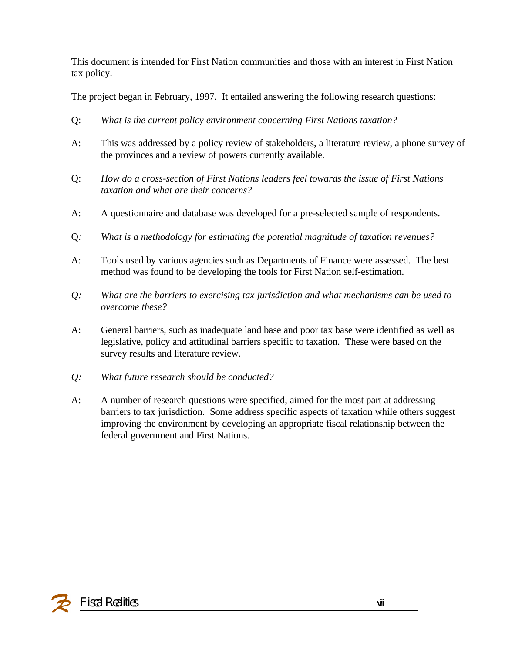This document is intended for First Nation communities and those with an interest in First Nation tax policy.

The project began in February, 1997. It entailed answering the following research questions:

- Q: *What is the current policy environment concerning First Nations taxation?*
- A: This was addressed by a policy review of stakeholders, a literature review, a phone survey of the provinces and a review of powers currently available.
- Q: *How do a cross-section of First Nations leaders feel towards the issue of First Nations taxation and what are their concerns?*
- A: A questionnaire and database was developed for a pre-selected sample of respondents.
- Q*: What is a methodology for estimating the potential magnitude of taxation revenues?*
- A: Tools used by various agencies such as Departments of Finance were assessed. The best method was found to be developing the tools for First Nation self-estimation.
- *Q: What are the barriers to exercising tax jurisdiction and what mechanisms can be used to overcome these?*
- A: General barriers, such as inadequate land base and poor tax base were identified as well as legislative, policy and attitudinal barriers specific to taxation. These were based on the survey results and literature review.
- *Q: What future research should be conducted?*
- A: A number of research questions were specified, aimed for the most part at addressing barriers to tax jurisdiction. Some address specific aspects of taxation while others suggest improving the environment by developing an appropriate fiscal relationship between the federal government and First Nations.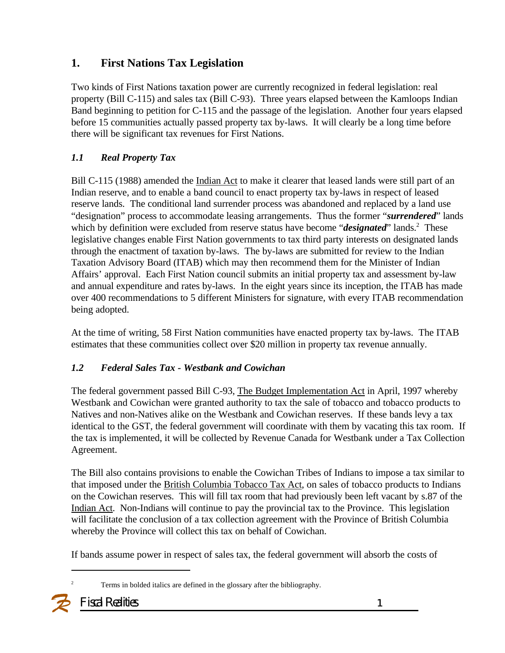### **1. First Nations Tax Legislation**

Two kinds of First Nations taxation power are currently recognized in federal legislation: real property (Bill C-115) and sales tax (Bill C-93).Three years elapsed between the Kamloops Indian Band beginning to petition for C-115 and the passage of the legislation. Another four years elapsed before 15 communities actually passed property tax by-laws. It will clearly be a long time before there will be significant tax revenues for First Nations.

### *1.1 Real Property Tax*

Bill C-115 (1988) amended the Indian Act to make it clearer that leased lands were still part of an Indian reserve, and to enable a band council to enact property tax by-laws in respect of leased reserve lands. The conditional land surrender process was abandoned and replaced by a land use "designation" process to accommodate leasing arrangements. Thus the former "*surrendered*" lands which by definition were excluded from reserve status have become "*designated*" lands.<sup>2</sup> These legislative changes enable First Nation governments to tax third party interests on designated lands through the enactment of taxation by-laws. The by-laws are submitted for review to the Indian Taxation Advisory Board (ITAB) which may then recommend them for the Minister of Indian Affairs' approval. Each First Nation council submits an initial property tax and assessment by-law and annual expenditure and rates by-laws. In the eight years since its inception, the ITAB has made over 400 recommendations to 5 different Ministers for signature, with every ITAB recommendation being adopted.

At the time of writing, 58 First Nation communities have enacted property tax by-laws. The ITAB estimates that these communities collect over \$20 million in property tax revenue annually.

### *1.2 Federal Sales Tax - Westbank and Cowichan*

The federal government passed Bill C-93, The Budget Implementation Act in April, 1997 whereby Westbank and Cowichan were granted authority to tax the sale of tobacco and tobacco products to Natives and non-Natives alike on the Westbank and Cowichan reserves. If these bands levy a tax identical to the GST, the federal government will coordinate with them by vacating this tax room. If the tax is implemented, it will be collected by Revenue Canada for Westbank under a Tax Collection Agreement.

The Bill also contains provisions to enable the Cowichan Tribes of Indians to impose a tax similar to that imposed under the British Columbia Tobacco Tax Act, on sales of tobacco products to Indians on the Cowichan reserves. This will fill tax room that had previously been left vacant by s.87 of the Indian Act. Non-Indians will continue to pay the provincial tax to the Province. This legislation will facilitate the conclusion of a tax collection agreement with the Province of British Columbia whereby the Province will collect this tax on behalf of Cowichan.

If bands assume power in respect of sales tax, the federal government will absorb the costs of

<sup>2</sup> Terms in bolded italics are defined in the glossary after the bibliography.

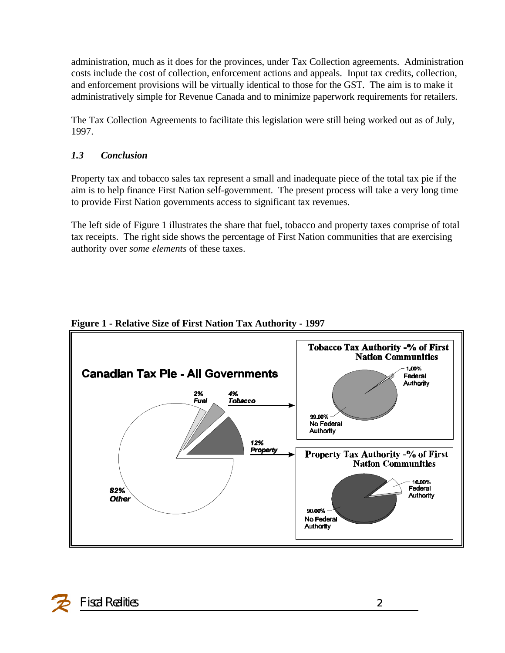administration, much as it does for the provinces, under Tax Collection agreements. Administration costs include the cost of collection, enforcement actions and appeals. Input tax credits, collection, and enforcement provisions will be virtually identical to those for the GST. The aim is to make it administratively simple for Revenue Canada and to minimize paperwork requirements for retailers.

The Tax Collection Agreements to facilitate this legislation were still being worked out as of July, 1997.

### *1.3 Conclusion*

Property tax and tobacco sales tax represent a small and inadequate piece of the total tax pie if the aim is to help finance First Nation self-government. The present process will take a very long time to provide First Nation governments access to significant tax revenues.

The left side of Figure 1 illustrates the share that fuel, tobacco and property taxes comprise of total tax receipts. The right side shows the percentage of First Nation communities that are exercising authority over *some elements* of these taxes.



### **Figure 1 - Relative Size of First Nation Tax Authority - 1997**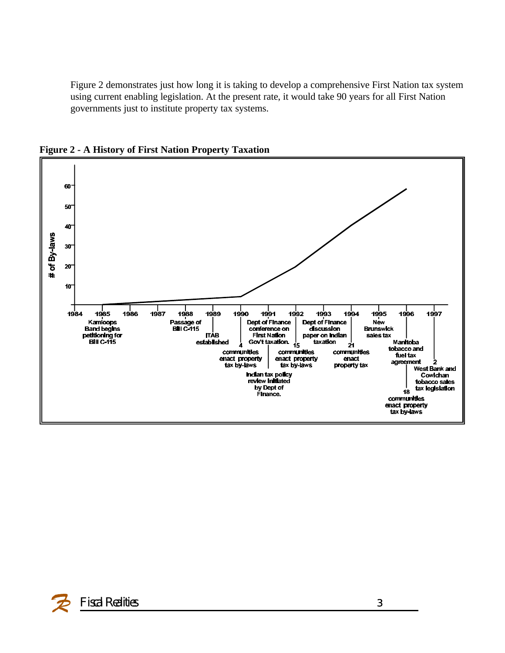Figure 2 demonstrates just how long it is taking to develop a comprehensive First Nation tax system using current enabling legislation. At the present rate, it would take 90 years for all First Nation governments just to institute property tax systems.



**Figure 2 - A History of First Nation Property Taxation**

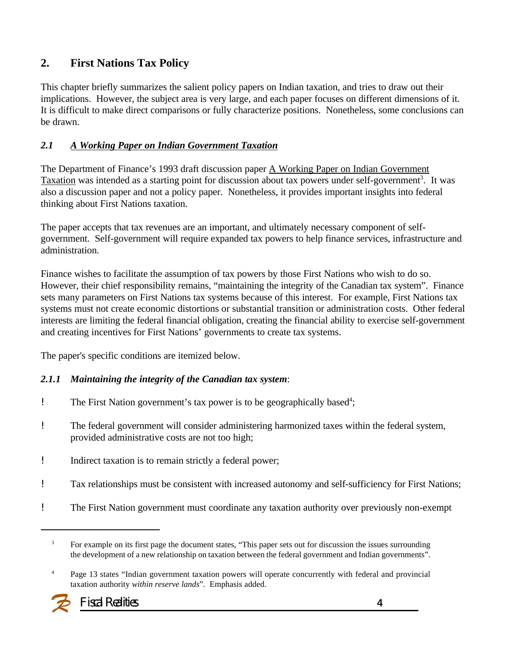### **2. First Nations Tax Policy**

This chapter briefly summarizes the salient policy papers on Indian taxation, and tries to draw out their implications. However, the subject area is very large, and each paper focuses on different dimensions of it. It is difficult to make direct comparisons or fully characterize positions. Nonetheless, some conclusions can be drawn.

#### *2.1 A Working Paper on Indian Government Taxation*

The Department of Finance's 1993 draft discussion paper A Working Paper on Indian Government Taxation was intended as a starting point for discussion about tax powers under self-government<sup>3</sup>. It was also a discussion paper and not a policy paper. Nonetheless, it provides important insights into federal thinking about First Nations taxation.

The paper accepts that tax revenues are an important, and ultimately necessary component of selfgovernment. Self-government will require expanded tax powers to help finance services, infrastructure and administration.

Finance wishes to facilitate the assumption of tax powers by those First Nations who wish to do so. However, their chief responsibility remains, "maintaining the integrity of the Canadian tax system". Finance sets many parameters on First Nations tax systems because of this interest. For example, First Nations tax systems must not create economic distortions or substantial transition or administration costs. Other federal interests are limiting the federal financial obligation, creating the financial ability to exercise self-government and creating incentives for First Nations' governments to create tax systems.

The paper's specific conditions are itemized below.

#### *2.1.1 Maintaining the integrity of the Canadian tax system*:

- ! The First Nation government's tax power is to be geographically based<sup>4</sup>;
- ! The federal government will consider administering harmonized taxes within the federal system, provided administrative costs are not too high;
- ! Indirect taxation is to remain strictly a federal power;
- ! Tax relationships must be consistent with increased autonomy and self-sufficiency for First Nations;
- ! The First Nation government must coordinate any taxation authority over previously non-exempt

<sup>&</sup>lt;sup>4</sup> Page 13 states "Indian government taxation powers will operate concurrently with federal and provincial taxation authority *within reserve lands*". Emphasis added.



<sup>&</sup>lt;sup>3</sup> For example on its first page the document states, "This paper sets out for discussion the issues surrounding the development of a new relationship on taxation between the federal government and Indian governments".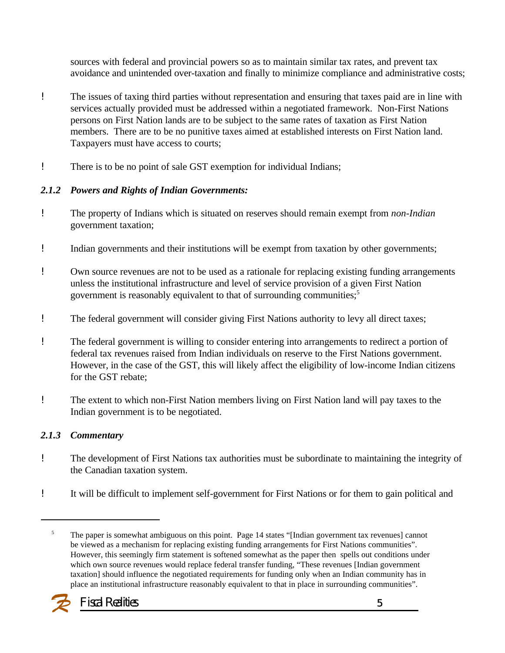sources with federal and provincial powers so as to maintain similar tax rates, and prevent tax avoidance and unintended over-taxation and finally to minimize compliance and administrative costs;

- ! The issues of taxing third parties without representation and ensuring that taxes paid are in line with services actually provided must be addressed within a negotiated framework. Non-First Nations persons on First Nation lands are to be subject to the same rates of taxation as First Nation members. There are to be no punitive taxes aimed at established interests on First Nation land. Taxpayers must have access to courts;
- ! There is to be no point of sale GST exemption for individual Indians;

#### *2.1.2 Powers and Rights of Indian Governments:*

- ! The property of Indians which is situated on reserves should remain exempt from *non-Indian* government taxation;
- ! Indian governments and their institutions will be exempt from taxation by other governments;
- ! Own source revenues are not to be used as a rationale for replacing existing funding arrangements unless the institutional infrastructure and level of service provision of a given First Nation government is reasonably equivalent to that of surrounding communities;<sup>5</sup>
- ! The federal government will consider giving First Nations authority to levy all direct taxes;
- ! The federal government is willing to consider entering into arrangements to redirect a portion of federal tax revenues raised from Indian individuals on reserve to the First Nations government. However, in the case of the GST, this will likely affect the eligibility of low-income Indian citizens for the GST rebate;
- ! The extent to which non-First Nation members living on First Nation land will pay taxes to the Indian government is to be negotiated.

#### *2.1.3 Commentary*

- ! The development of First Nations tax authorities must be subordinate to maintaining the integrity of the Canadian taxation system.
- ! It will be difficult to implement self-government for First Nations or for them to gain political and

<sup>&</sup>lt;sup>5</sup> The paper is somewhat ambiguous on this point. Page 14 states "[Indian government tax revenues] cannot be viewed as a mechanism for replacing existing funding arrangements for First Nations communities". However, this seemingly firm statement is softened somewhat as the paper then spells out conditions under which own source revenues would replace federal transfer funding, "These revenues [Indian government taxation] should influence the negotiated requirements for funding only when an Indian community has in place an institutional infrastructure reasonably equivalent to that in place in surrounding communities".

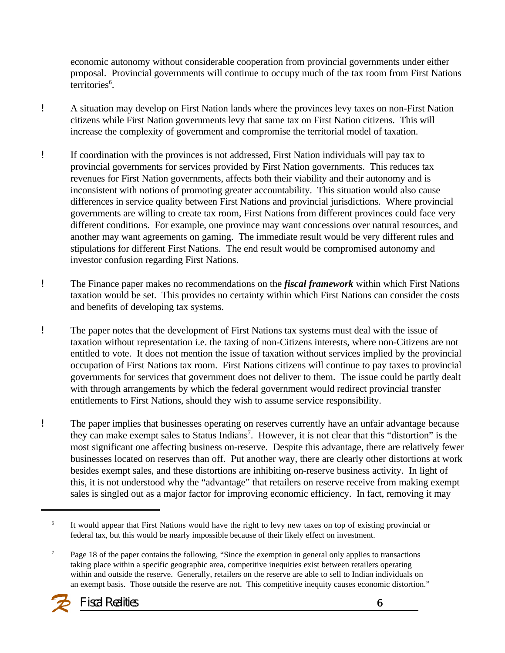economic autonomy without considerable cooperation from provincial governments under either proposal. Provincial governments will continue to occupy much of the tax room from First Nations territories<sup>6</sup>.

- ! A situation may develop on First Nation lands where the provinces levy taxes on non-First Nation citizens while First Nation governments levy that same tax on First Nation citizens. This will increase the complexity of government and compromise the territorial model of taxation.
- ! If coordination with the provinces is not addressed, First Nation individuals will pay tax to provincial governments for services provided by First Nation governments. This reduces tax revenues for First Nation governments, affects both their viability and their autonomy and is inconsistent with notions of promoting greater accountability. This situation would also cause differences in service quality between First Nations and provincial jurisdictions. Where provincial governments are willing to create tax room, First Nations from different provinces could face very different conditions. For example, one province may want concessions over natural resources, and another may want agreements on gaming. The immediate result would be very different rules and stipulations for different First Nations. The end result would be compromised autonomy and investor confusion regarding First Nations.
- ! The Finance paper makes no recommendations on the *fiscal framework* within which First Nations taxation would be set. This provides no certainty within which First Nations can consider the costs and benefits of developing tax systems.
- ! The paper notes that the development of First Nations tax systems must deal with the issue of taxation without representation i.e. the taxing of non-Citizens interests, where non-Citizens are not entitled to vote. It does not mention the issue of taxation without services implied by the provincial occupation of First Nations tax room. First Nations citizens will continue to pay taxes to provincial governments for services that government does not deliver to them. The issue could be partly dealt with through arrangements by which the federal government would redirect provincial transfer entitlements to First Nations, should they wish to assume service responsibility.
- ! The paper implies that businesses operating on reserves currently have an unfair advantage because they can make exempt sales to Status Indians<sup>7</sup>. However, it is not clear that this "distortion" is the most significant one affecting business on-reserve. Despite this advantage, there are relatively fewer businesses located on reserves than off. Put another way, there are clearly other distortions at work besides exempt sales, and these distortions are inhibiting on-reserve business activity. In light of this, it is not understood why the "advantage" that retailers on reserve receive from making exempt sales is singled out as a major factor for improving economic efficiency. In fact, removing it may

<sup>&</sup>lt;sup>7</sup> Page 18 of the paper contains the following, "Since the exemption in general only applies to transactions taking place within a specific geographic area, competitive inequities exist between retailers operating within and outside the reserve. Generally, retailers on the reserve are able to sell to Indian individuals on an exempt basis. Those outside the reserve are not. This competitive inequity causes economic distortion."



<sup>6</sup> It would appear that First Nations would have the right to levy new taxes on top of existing provincial or federal tax, but this would be nearly impossible because of their likely effect on investment.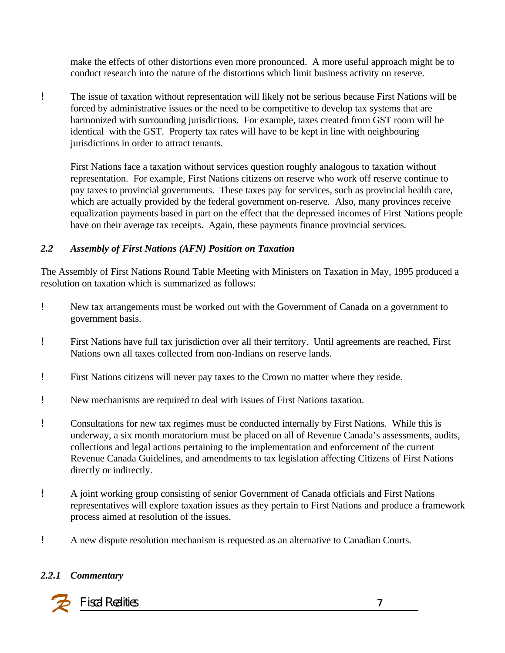make the effects of other distortions even more pronounced. A more useful approach might be to conduct research into the nature of the distortions which limit business activity on reserve.

! The issue of taxation without representation will likely not be serious because First Nations will be forced by administrative issues or the need to be competitive to develop tax systems that are harmonized with surrounding jurisdictions. For example, taxes created from GST room will be identical with the GST. Property tax rates will have to be kept in line with neighbouring jurisdictions in order to attract tenants.

First Nations face a taxation without services question roughly analogous to taxation without representation. For example, First Nations citizens on reserve who work off reserve continue to pay taxes to provincial governments. These taxes pay for services, such as provincial health care, which are actually provided by the federal government on-reserve. Also, many provinces receive equalization payments based in part on the effect that the depressed incomes of First Nations people have on their average tax receipts. Again, these payments finance provincial services.

#### *2.2 Assembly of First Nations (AFN) Position on Taxation*

The Assembly of First Nations Round Table Meeting with Ministers on Taxation in May, 1995 produced a resolution on taxation which is summarized as follows:

- ! New tax arrangements must be worked out with the Government of Canada on a government to government basis.
- ! First Nations have full tax jurisdiction over all their territory. Until agreements are reached, First Nations own all taxes collected from non-Indians on reserve lands.
- ! First Nations citizens will never pay taxes to the Crown no matter where they reside.
- ! New mechanisms are required to deal with issues of First Nations taxation.
- ! Consultations for new tax regimes must be conducted internally by First Nations. While this is underway, a six month moratorium must be placed on all of Revenue Canada's assessments, audits, collections and legal actions pertaining to the implementation and enforcement of the current Revenue Canada Guidelines, and amendments to tax legislation affecting Citizens of First Nations directly or indirectly.
- ! A joint working group consisting of senior Government of Canada officials and First Nations representatives will explore taxation issues as they pertain to First Nations and produce a framework process aimed at resolution of the issues.
- ! A new dispute resolution mechanism is requested as an alternative to Canadian Courts.

#### *2.2.1 Commentary*

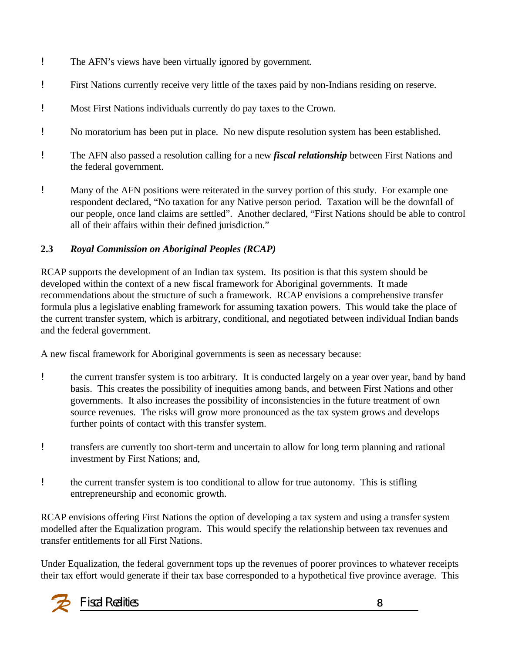- ! The AFN's views have been virtually ignored by government.
- ! First Nations currently receive very little of the taxes paid by non-Indians residing on reserve.
- ! Most First Nations individuals currently do pay taxes to the Crown.
- ! No moratorium has been put in place. No new dispute resolution system has been established.
- ! The AFN also passed a resolution calling for a new *fiscal relationship* between First Nations and the federal government.
- ! Many of the AFN positions were reiterated in the survey portion of this study. For example one respondent declared, "No taxation for any Native person period. Taxation will be the downfall of our people, once land claims are settled". Another declared, "First Nations should be able to control all of their affairs within their defined jurisdiction."

#### **2.3** *Royal Commission on Aboriginal Peoples (RCAP)*

RCAP supports the development of an Indian tax system. Its position is that this system should be developed within the context of a new fiscal framework for Aboriginal governments. It made recommendations about the structure of such a framework. RCAP envisions a comprehensive transfer formula plus a legislative enabling framework for assuming taxation powers. This would take the place of the current transfer system, which is arbitrary, conditional, and negotiated between individual Indian bands and the federal government.

A new fiscal framework for Aboriginal governments is seen as necessary because:

- ! the current transfer system is too arbitrary*.* It is conducted largely on a year over year, band by band basis. This creates the possibility of inequities among bands, and between First Nations and other governments. It also increases the possibility of inconsistencies in the future treatment of own source revenues. The risks will grow more pronounced as the tax system grows and develops further points of contact with this transfer system.
- ! transfers are currently too short-term and uncertain to allow for long term planning and rational investment by First Nations; and,
- ! the current transfer system is too conditional to allow for true autonomy. This is stifling entrepreneurship and economic growth.

RCAP envisions offering First Nations the option of developing a tax system and using a transfer system modelled after the Equalization program. This would specify the relationship between tax revenues and transfer entitlements for all First Nations.

Under Equalization, the federal government tops up the revenues of poorer provinces to whatever receipts their tax effort would generate if their tax base corresponded to a hypothetical five province average. This

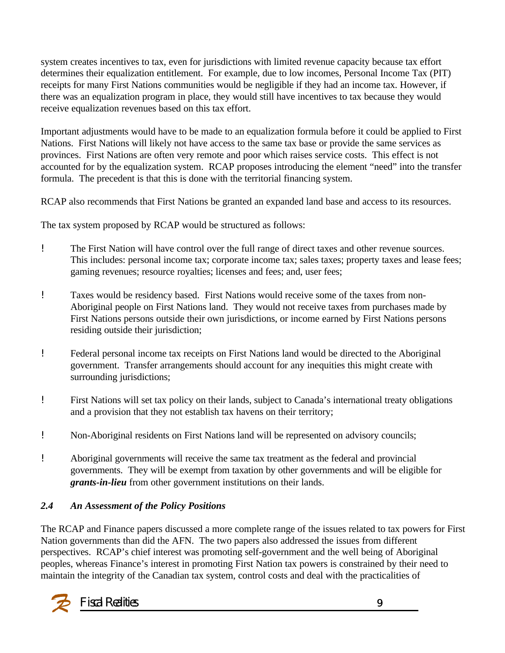system creates incentives to tax, even for jurisdictions with limited revenue capacity because tax effort determines their equalization entitlement. For example, due to low incomes, Personal Income Tax (PIT) receipts for many First Nations communities would be negligible if they had an income tax. However, if there was an equalization program in place, they would still have incentives to tax because they would receive equalization revenues based on this tax effort.

Important adjustments would have to be made to an equalization formula before it could be applied to First Nations. First Nations will likely not have access to the same tax base or provide the same services as provinces. First Nations are often very remote and poor which raises service costs. This effect is not accounted for by the equalization system. RCAP proposes introducing the element "need" into the transfer formula. The precedent is that this is done with the territorial financing system.

RCAP also recommends that First Nations be granted an expanded land base and access to its resources.

The tax system proposed by RCAP would be structured as follows:

- ! The First Nation will have control over the full range of direct taxes and other revenue sources. This includes: personal income tax; corporate income tax; sales taxes; property taxes and lease fees; gaming revenues; resource royalties; licenses and fees; and, user fees;
- ! Taxes would be residency based. First Nations would receive some of the taxes from non-Aboriginal people on First Nations land. They would not receive taxes from purchases made by First Nations persons outside their own jurisdictions, or income earned by First Nations persons residing outside their jurisdiction;
- ! Federal personal income tax receipts on First Nations land would be directed to the Aboriginal government. Transfer arrangements should account for any inequities this might create with surrounding jurisdictions;
- ! First Nations will set tax policy on their lands, subject to Canada's international treaty obligations and a provision that they not establish tax havens on their territory;
- ! Non-Aboriginal residents on First Nations land will be represented on advisory councils;
- ! Aboriginal governments will receive the same tax treatment as the federal and provincial governments. They will be exempt from taxation by other governments and will be eligible for *grants-in-lieu* from other government institutions on their lands.

### *2.4 An Assessment of the Policy Positions*

The RCAP and Finance papers discussed a more complete range of the issues related to tax powers for First Nation governments than did the AFN. The two papers also addressed the issues from different perspectives. RCAP's chief interest was promoting self-government and the well being of Aboriginal peoples, whereas Finance's interest in promoting First Nation tax powers is constrained by their need to maintain the integrity of the Canadian tax system, control costs and deal with the practicalities of

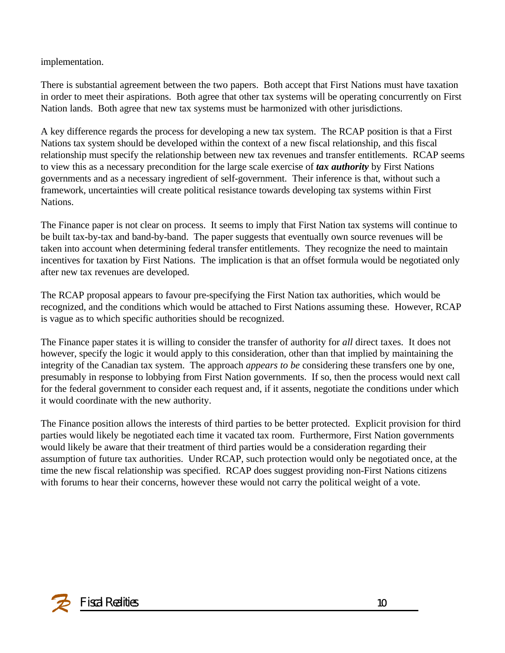implementation.

There is substantial agreement between the two papers. Both accept that First Nations must have taxation in order to meet their aspirations. Both agree that other tax systems will be operating concurrently on First Nation lands. Both agree that new tax systems must be harmonized with other jurisdictions.

A key difference regards the process for developing a new tax system. The RCAP position is that a First Nations tax system should be developed within the context of a new fiscal relationship, and this fiscal relationship must specify the relationship between new tax revenues and transfer entitlements. RCAP seems to view this as a necessary precondition for the large scale exercise of *tax authority* by First Nations governments and as a necessary ingredient of self-government. Their inference is that, without such a framework, uncertainties will create political resistance towards developing tax systems within First Nations.

The Finance paper is not clear on process. It seems to imply that First Nation tax systems will continue to be built tax-by-tax and band-by-band. The paper suggests that eventually own source revenues will be taken into account when determining federal transfer entitlements. They recognize the need to maintain incentives for taxation by First Nations. The implication is that an offset formula would be negotiated only after new tax revenues are developed.

The RCAP proposal appears to favour pre-specifying the First Nation tax authorities, which would be recognized, and the conditions which would be attached to First Nations assuming these. However, RCAP is vague as to which specific authorities should be recognized.

The Finance paper states it is willing to consider the transfer of authority for *all* direct taxes. It does not however, specify the logic it would apply to this consideration, other than that implied by maintaining the integrity of the Canadian tax system. The approach *appears to be* considering these transfers one by one, presumably in response to lobbying from First Nation governments. If so, then the process would next call for the federal government to consider each request and, if it assents, negotiate the conditions under which it would coordinate with the new authority.

The Finance position allows the interests of third parties to be better protected. Explicit provision for third parties would likely be negotiated each time it vacated tax room. Furthermore, First Nation governments would likely be aware that their treatment of third parties would be a consideration regarding their assumption of future tax authorities. Under RCAP, such protection would only be negotiated once, at the time the new fiscal relationship was specified. RCAP does suggest providing non-First Nations citizens with forums to hear their concerns, however these would not carry the political weight of a vote.

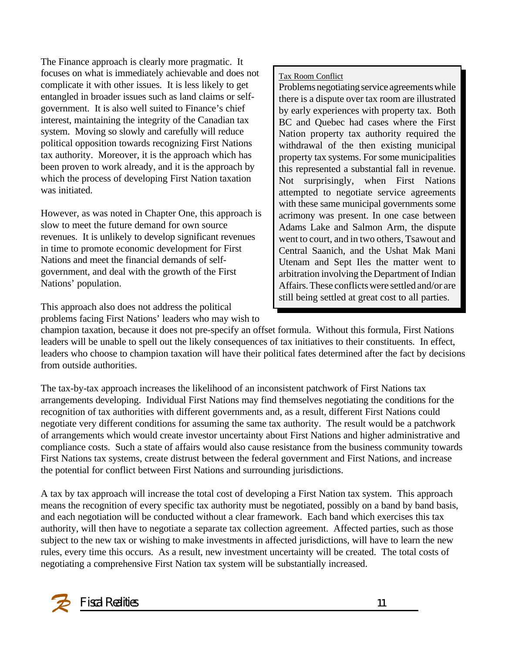The Finance approach is clearly more pragmatic. It focuses on what is immediately achievable and does not complicate it with other issues. It is less likely to get entangled in broader issues such as land claims or selfgovernment. It is also well suited to Finance's chief interest, maintaining the integrity of the Canadian tax system. Moving so slowly and carefully will reduce political opposition towards recognizing First Nations tax authority. Moreover, it is the approach which has been proven to work already, and it is the approach by which the process of developing First Nation taxation was initiated.

However, as was noted in Chapter One, this approach is slow to meet the future demand for own source revenues. It is unlikely to develop significant revenues in time to promote economic development for First Nations and meet the financial demands of selfgovernment, and deal with the growth of the First Nations' population.

This approach also does not address the political problems facing First Nations' leaders who may wish to Tax Room Conflict

Problems negotiating service agreements while there is a dispute over tax room are illustrated by early experiences with property tax. Both BC and Quebec had cases where the First Nation property tax authority required the withdrawal of the then existing municipal property tax systems. For some municipalities this represented a substantial fall in revenue. Not surprisingly, when First Nations attempted to negotiate service agreements with these same municipal governments some acrimony was present. In one case between Adams Lake and Salmon Arm, the dispute went to court, and in two others, Tsawout and Central Saanich, and the Ushat Mak Mani Utenam and Sept Iles the matter went to arbitration involving the Department of Indian Affairs. These conflicts were settled and/or are still being settled at great cost to all parties.

champion taxation, because it does not pre-specify an offset formula. Without this formula, First Nations leaders will be unable to spell out the likely consequences of tax initiatives to their constituents. In effect, leaders who choose to champion taxation will have their political fates determined after the fact by decisions from outside authorities.

The tax-by-tax approach increases the likelihood of an inconsistent patchwork of First Nations tax arrangements developing. Individual First Nations may find themselves negotiating the conditions for the recognition of tax authorities with different governments and, as a result, different First Nations could negotiate very different conditions for assuming the same tax authority. The result would be a patchwork of arrangements which would create investor uncertainty about First Nations and higher administrative and compliance costs. Such a state of affairs would also cause resistance from the business community towards First Nations tax systems, create distrust between the federal government and First Nations, and increase the potential for conflict between First Nations and surrounding jurisdictions.

A tax by tax approach will increase the total cost of developing a First Nation tax system. This approach means the recognition of every specific tax authority must be negotiated, possibly on a band by band basis, and each negotiation will be conducted without a clear framework. Each band which exercises this tax authority, will then have to negotiate a separate tax collection agreement. Affected parties, such as those subject to the new tax or wishing to make investments in affected jurisdictions, will have to learn the new rules, every time this occurs. As a result, new investment uncertainty will be created. The total costs of negotiating a comprehensive First Nation tax system will be substantially increased.

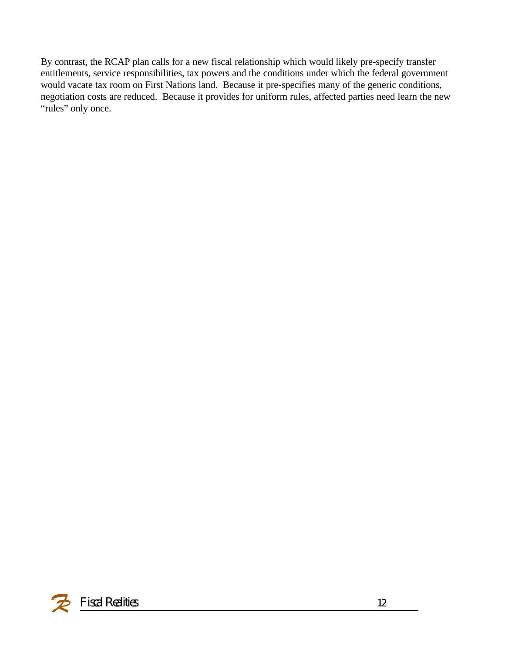By contrast, the RCAP plan calls for a new fiscal relationship which would likely pre-specify transfer entitlements, service responsibilities, tax powers and the conditions under which the federal government would vacate tax room on First Nations land. Because it pre-specifies many of the generic conditions, negotiation costs are reduced. Because it provides for uniform rules, affected parties need learn the new "rules" only once.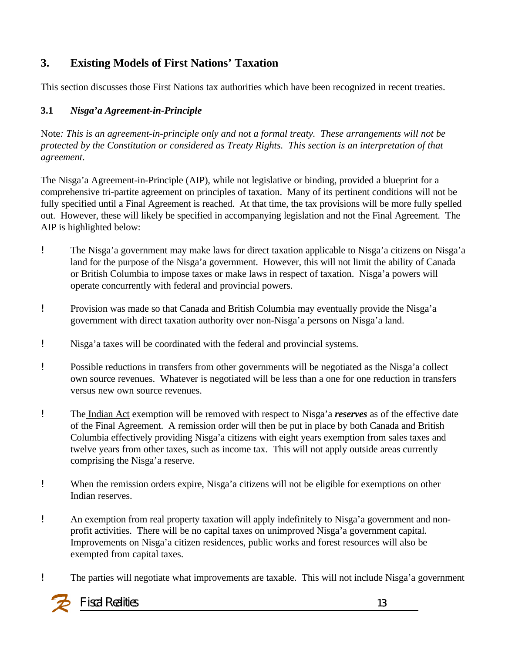### **3. Existing Models of First Nations' Taxation**

This section discusses those First Nations tax authorities which have been recognized in recent treaties.

#### **3.1** *Nisga'a Agreement-in-Principle*

Note*: This is an agreement-in-principle only and not a formal treaty. These arrangements will not be protected by the Constitution or considered as Treaty Rights. This section is an interpretation of that agreement*.

The Nisga'a Agreement-in-Principle (AIP), while not legislative or binding, provided a blueprint for a comprehensive tri-partite agreement on principles of taxation. Many of its pertinent conditions will not be fully specified until a Final Agreement is reached. At that time, the tax provisions will be more fully spelled out. However, these will likely be specified in accompanying legislation and not the Final Agreement. The AIP is highlighted below:

- ! The Nisga'a government may make laws for direct taxation applicable to Nisga'a citizens on Nisga'a land for the purpose of the Nisga'a government. However, this will not limit the ability of Canada or British Columbia to impose taxes or make laws in respect of taxation. Nisga'a powers will operate concurrently with federal and provincial powers.
- ! Provision was made so that Canada and British Columbia may eventually provide the Nisga'a government with direct taxation authority over non-Nisga'a persons on Nisga'a land.
- ! Nisga'a taxes will be coordinated with the federal and provincial systems.
- ! Possible reductions in transfers from other governments will be negotiated as the Nisga'a collect own source revenues. Whatever is negotiated will be less than a one for one reduction in transfers versus new own source revenues.
- ! The Indian Act exemption will be removed with respect to Nisga'a *reserves* as of the effective date of the Final Agreement. A remission order will then be put in place by both Canada and British Columbia effectively providing Nisga'a citizens with eight years exemption from sales taxes and twelve years from other taxes, such as income tax. This will not apply outside areas currently comprising the Nisga'a reserve.
- ! When the remission orders expire, Nisga'a citizens will not be eligible for exemptions on other Indian reserves.
- ! An exemption from real property taxation will apply indefinitely to Nisga'a government and nonprofit activities. There will be no capital taxes on unimproved Nisga'a government capital. Improvements on Nisga'a citizen residences, public works and forest resources will also be exempted from capital taxes.
- ! The parties will negotiate what improvements are taxable. This will not include Nisga'a government

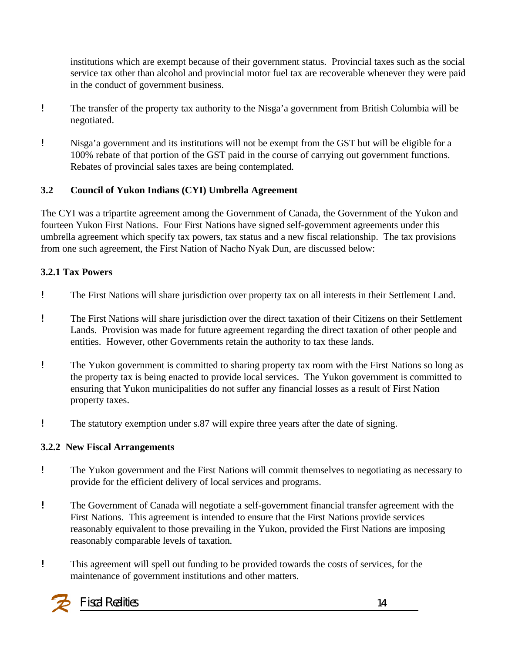institutions which are exempt because of their government status. Provincial taxes such as the social service tax other than alcohol and provincial motor fuel tax are recoverable whenever they were paid in the conduct of government business.

- ! The transfer of the property tax authority to the Nisga'a government from British Columbia will be negotiated.
- ! Nisga'a government and its institutions will not be exempt from the GST but will be eligible for a 100% rebate of that portion of the GST paid in the course of carrying out government functions. Rebates of provincial sales taxes are being contemplated.

#### **3.2 Council of Yukon Indians (CYI) Umbrella Agreement**

The CYI was a tripartite agreement among the Government of Canada, the Government of the Yukon and fourteen Yukon First Nations. Four First Nations have signed self-government agreements under this umbrella agreement which specify tax powers, tax status and a new fiscal relationship. The tax provisions from one such agreement, the First Nation of Nacho Nyak Dun, are discussed below:

#### **3.2.1 Tax Powers**

- ! The First Nations will share jurisdiction over property tax on all interests in their Settlement Land.
- ! The First Nations will share jurisdiction over the direct taxation of their Citizens on their Settlement Lands. Provision was made for future agreement regarding the direct taxation of other people and entities. However, other Governments retain the authority to tax these lands.
- ! The Yukon government is committed to sharing property tax room with the First Nations so long as the property tax is being enacted to provide local services. The Yukon government is committed to ensuring that Yukon municipalities do not suffer any financial losses as a result of First Nation property taxes.
- ! The statutory exemption under s.87 will expire three years after the date of signing.

#### **3.2.2 New Fiscal Arrangements**

- ! The Yukon government and the First Nations will commit themselves to negotiating as necessary to provide for the efficient delivery of local services and programs.
- *!* The Government of Canada will negotiate a self-government financial transfer agreement with the First Nations. This agreement is intended to ensure that the First Nations provide services reasonably equivalent to those prevailing in the Yukon, provided the First Nations are imposing reasonably comparable levels of taxation.
- *!* This agreement will spell out funding to be provided towards the costs of services, for the maintenance of government institutions and other matters.

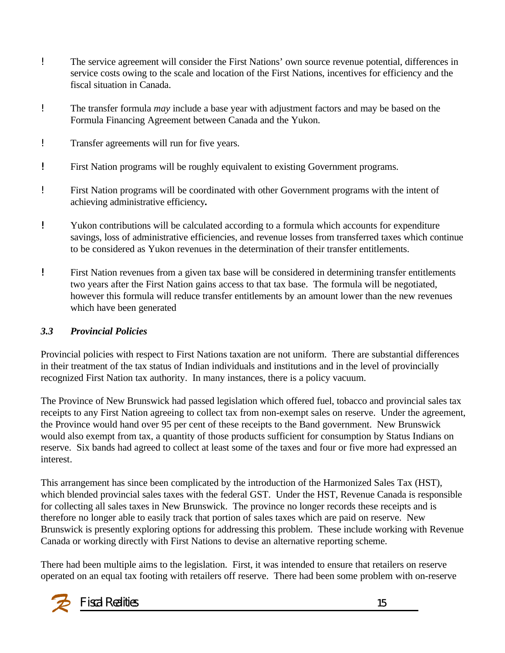- ! The service agreement will consider the First Nations' own source revenue potential, differences in service costs owing to the scale and location of the First Nations, incentives for efficiency and the fiscal situation in Canada.
- ! The transfer formula *may* include a base year with adjustment factors and may be based on the Formula Financing Agreement between Canada and the Yukon.
- ! Transfer agreements will run for five years.
- *!* First Nation programs will be roughly equivalent to existing Government programs.
- ! First Nation programs will be coordinated with other Government programs with the intent of achieving administrative efficiency*.*
- *!* Yukon contributions will be calculated according to a formula which accounts for expenditure savings, loss of administrative efficiencies, and revenue losses from transferred taxes which continue to be considered as Yukon revenues in the determination of their transfer entitlements.
- *!* First Nation revenues from a given tax base will be considered in determining transfer entitlements two years after the First Nation gains access to that tax base. The formula will be negotiated, however this formula will reduce transfer entitlements by an amount lower than the new revenues which have been generated

### *3.3 Provincial Policies*

Provincial policies with respect to First Nations taxation are not uniform. There are substantial differences in their treatment of the tax status of Indian individuals and institutions and in the level of provincially recognized First Nation tax authority. In many instances, there is a policy vacuum.

The Province of New Brunswick had passed legislation which offered fuel, tobacco and provincial sales tax receipts to any First Nation agreeing to collect tax from non-exempt sales on reserve. Under the agreement, the Province would hand over 95 per cent of these receipts to the Band government. New Brunswick would also exempt from tax, a quantity of those products sufficient for consumption by Status Indians on reserve. Six bands had agreed to collect at least some of the taxes and four or five more had expressed an interest.

This arrangement has since been complicated by the introduction of the Harmonized Sales Tax (HST), which blended provincial sales taxes with the federal GST. Under the HST, Revenue Canada is responsible for collecting all sales taxes in New Brunswick. The province no longer records these receipts and is therefore no longer able to easily track that portion of sales taxes which are paid on reserve. New Brunswick is presently exploring options for addressing this problem. These include working with Revenue Canada or working directly with First Nations to devise an alternative reporting scheme.

There had been multiple aims to the legislation. First, it was intended to ensure that retailers on reserve operated on an equal tax footing with retailers off reserve. There had been some problem with on-reserve

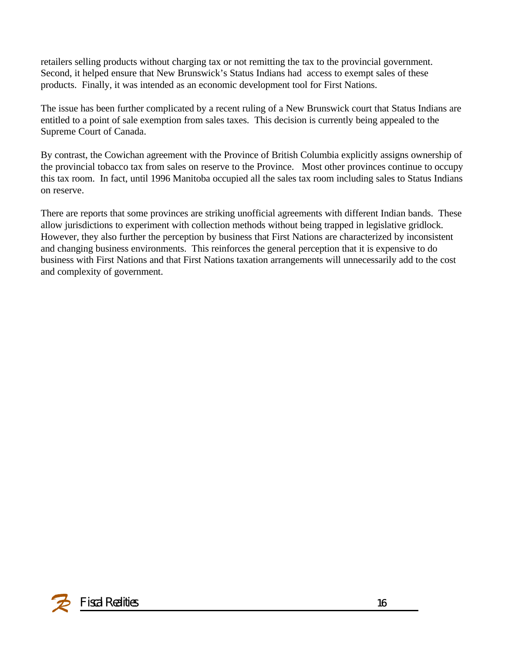retailers selling products without charging tax or not remitting the tax to the provincial government. Second, it helped ensure that New Brunswick's Status Indians had access to exempt sales of these products. Finally, it was intended as an economic development tool for First Nations.

The issue has been further complicated by a recent ruling of a New Brunswick court that Status Indians are entitled to a point of sale exemption from sales taxes. This decision is currently being appealed to the Supreme Court of Canada.

By contrast, the Cowichan agreement with the Province of British Columbia explicitly assigns ownership of the provincial tobacco tax from sales on reserve to the Province. Most other provinces continue to occupy this tax room. In fact, until 1996 Manitoba occupied all the sales tax room including sales to Status Indians on reserve.

There are reports that some provinces are striking unofficial agreements with different Indian bands. These allow jurisdictions to experiment with collection methods without being trapped in legislative gridlock. However, they also further the perception by business that First Nations are characterized by inconsistent and changing business environments. This reinforces the general perception that it is expensive to do business with First Nations and that First Nations taxation arrangements will unnecessarily add to the cost and complexity of government.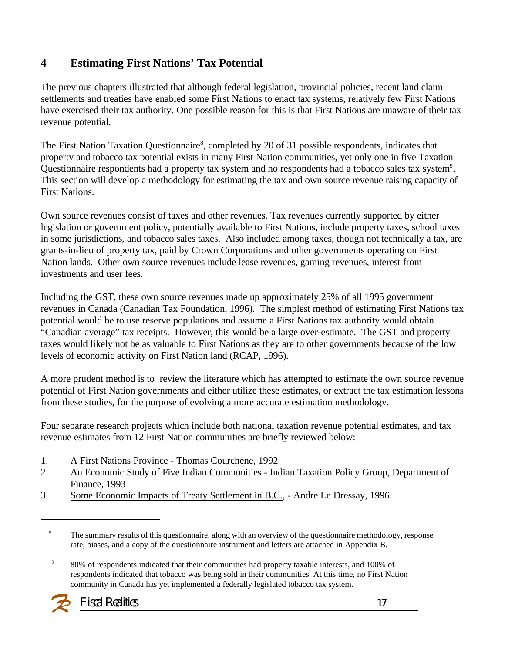### **4 Estimating First Nations' Tax Potential**

The previous chapters illustrated that although federal legislation, provincial policies, recent land claim settlements and treaties have enabled some First Nations to enact tax systems, relatively few First Nations have exercised their tax authority. One possible reason for this is that First Nations are unaware of their tax revenue potential.

The First Nation Taxation Questionnaire<sup>8</sup>, completed by 20 of 31 possible respondents, indicates that property and tobacco tax potential exists in many First Nation communities, yet only one in five Taxation Questionnaire respondents had a property tax system and no respondents had a tobacco sales tax system<sup>9</sup>. This section will develop a methodology for estimating the tax and own source revenue raising capacity of First Nations.

Own source revenues consist of taxes and other revenues. Tax revenues currently supported by either legislation or government policy, potentially available to First Nations, include property taxes, school taxes in some jurisdictions, and tobacco sales taxes. Also included among taxes, though not technically a tax, are grants-in-lieu of property tax, paid by Crown Corporations and other governments operating on First Nation lands. Other own source revenues include lease revenues, gaming revenues, interest from investments and user fees.

Including the GST, these own source revenues made up approximately 25% of all 1995 government revenues in Canada (Canadian Tax Foundation, 1996). The simplest method of estimating First Nations tax potential would be to use reserve populations and assume a First Nations tax authority would obtain "Canadian average" tax receipts. However, this would be a large over-estimate. The GST and property taxes would likely not be as valuable to First Nations as they are to other governments because of the low levels of economic activity on First Nation land (RCAP, 1996).

A more prudent method is to review the literature which has attempted to estimate the own source revenue potential of First Nation governments and either utilize these estimates, or extract the tax estimation lessons from these studies, for the purpose of evolving a more accurate estimation methodology.

Four separate research projects which include both national taxation revenue potential estimates, and tax revenue estimates from 12 First Nation communities are briefly reviewed below:

- 1. A First Nations Province Thomas Courchene, 1992
- 2. An Economic Study of Five Indian Communities Indian Taxation Policy Group, Department of Finance, 1993
- 3. Some Economic Impacts of Treaty Settlement in B.C., Andre Le Dressay, 1996

<sup>9</sup> 80% of respondents indicated that their communities had property taxable interests, and 100% of respondents indicated that tobacco was being sold in their communities. At this time, no First Nation community in Canada has yet implemented a federally legislated tobacco tax system.



<sup>&</sup>lt;sup>8</sup> The summary results of this questionnaire, along with an overview of the questionnaire methodology, response rate, biases, and a copy of the questionnaire instrument and letters are attached in Appendix B.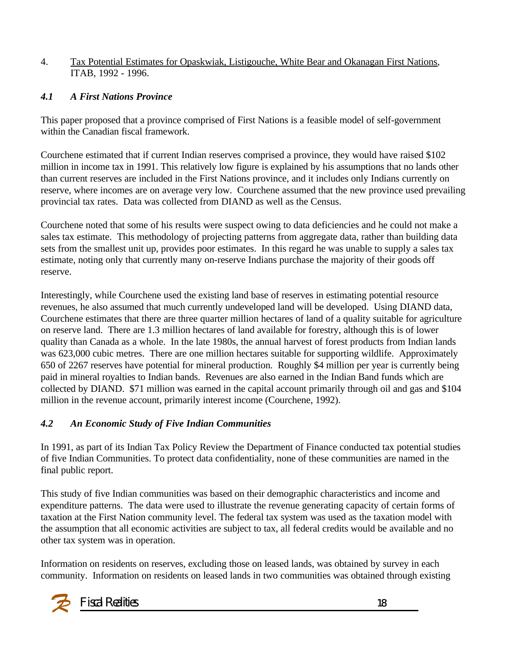#### 4. Tax Potential Estimates for Opaskwiak, Listigouche, White Bear and Okanagan First Nations, ITAB, 1992 - 1996.

#### *4.1 A First Nations Province*

This paper proposed that a province comprised of First Nations is a feasible model of self-government within the Canadian fiscal framework.

Courchene estimated that if current Indian reserves comprised a province, they would have raised \$102 million in income tax in 1991. This relatively low figure is explained by his assumptions that no lands other than current reserves are included in the First Nations province, and it includes only Indians currently on reserve, where incomes are on average very low. Courchene assumed that the new province used prevailing provincial tax rates. Data was collected from DIAND as well as the Census.

Courchene noted that some of his results were suspect owing to data deficiencies and he could not make a sales tax estimate. This methodology of projecting patterns from aggregate data, rather than building data sets from the smallest unit up, provides poor estimates. In this regard he was unable to supply a sales tax estimate, noting only that currently many on-reserve Indians purchase the majority of their goods off reserve.

Interestingly, while Courchene used the existing land base of reserves in estimating potential resource revenues, he also assumed that much currently undeveloped land will be developed. Using DIAND data, Courchene estimates that there are three quarter million hectares of land of a quality suitable for agriculture on reserve land. There are 1.3 million hectares of land available for forestry, although this is of lower quality than Canada as a whole. In the late 1980s, the annual harvest of forest products from Indian lands was 623,000 cubic metres. There are one million hectares suitable for supporting wildlife. Approximately 650 of 2267 reserves have potential for mineral production. Roughly \$4 million per year is currently being paid in mineral royalties to Indian bands. Revenues are also earned in the Indian Band funds which are collected by DIAND. \$71 million was earned in the capital account primarily through oil and gas and \$104 million in the revenue account, primarily interest income (Courchene, 1992).

### *4.2 An Economic Study of Five Indian Communities*

In 1991, as part of its Indian Tax Policy Review the Department of Finance conducted tax potential studies of five Indian Communities. To protect data confidentiality, none of these communities are named in the final public report.

This study of five Indian communities was based on their demographic characteristics and income and expenditure patterns. The data were used to illustrate the revenue generating capacity of certain forms of taxation at the First Nation community level. The federal tax system was used as the taxation model with the assumption that all economic activities are subject to tax, all federal credits would be available and no other tax system was in operation.

Information on residents on reserves, excluding those on leased lands, was obtained by survey in each community. Information on residents on leased lands in two communities was obtained through existing

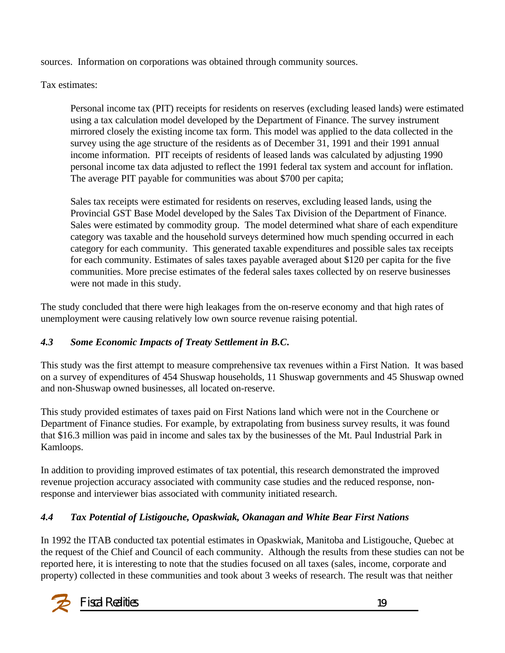sources. Information on corporations was obtained through community sources.

Tax estimates:

Personal income tax (PIT) receipts for residents on reserves (excluding leased lands) were estimated using a tax calculation model developed by the Department of Finance. The survey instrument mirrored closely the existing income tax form. This model was applied to the data collected in the survey using the age structure of the residents as of December 31, 1991 and their 1991 annual income information. PIT receipts of residents of leased lands was calculated by adjusting 1990 personal income tax data adjusted to reflect the 1991 federal tax system and account for inflation. The average PIT payable for communities was about \$700 per capita;

Sales tax receipts were estimated for residents on reserves, excluding leased lands, using the Provincial GST Base Model developed by the Sales Tax Division of the Department of Finance. Sales were estimated by commodity group. The model determined what share of each expenditure category was taxable and the household surveys determined how much spending occurred in each category for each community. This generated taxable expenditures and possible sales tax receipts for each community. Estimates of sales taxes payable averaged about \$120 per capita for the five communities. More precise estimates of the federal sales taxes collected by on reserve businesses were not made in this study.

The study concluded that there were high leakages from the on-reserve economy and that high rates of unemployment were causing relatively low own source revenue raising potential.

### *4.3 Some Economic Impacts of Treaty Settlement in B.C***.**

This study was the first attempt to measure comprehensive tax revenues within a First Nation. It was based on a survey of expenditures of 454 Shuswap households, 11 Shuswap governments and 45 Shuswap owned and non-Shuswap owned businesses, all located on-reserve.

This study provided estimates of taxes paid on First Nations land which were not in the Courchene or Department of Finance studies. For example, by extrapolating from business survey results, it was found that \$16.3 million was paid in income and sales tax by the businesses of the Mt. Paul Industrial Park in Kamloops.

In addition to providing improved estimates of tax potential, this research demonstrated the improved revenue projection accuracy associated with community case studies and the reduced response, nonresponse and interviewer bias associated with community initiated research.

### *4.4 Tax Potential of Listigouche, Opaskwiak, Okanagan and White Bear First Nations*

In 1992 the ITAB conducted tax potential estimates in Opaskwiak, Manitoba and Listigouche, Quebec at the request of the Chief and Council of each community. Although the results from these studies can not be reported here, it is interesting to note that the studies focused on all taxes (sales, income, corporate and property) collected in these communities and took about 3 weeks of research. The result was that neither

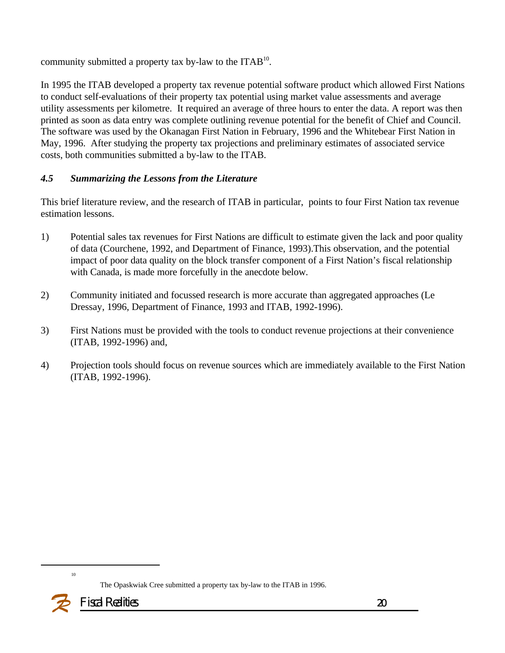community submitted a property tax by-law to the ITAB $^{10}$ .

In 1995 the ITAB developed a property tax revenue potential software product which allowed First Nations to conduct self-evaluations of their property tax potential using market value assessments and average utility assessments per kilometre. It required an average of three hours to enter the data. A report was then printed as soon as data entry was complete outlining revenue potential for the benefit of Chief and Council. The software was used by the Okanagan First Nation in February, 1996 and the Whitebear First Nation in May, 1996. After studying the property tax projections and preliminary estimates of associated service costs, both communities submitted a by-law to the ITAB.

#### *4.5 Summarizing the Lessons from the Literature*

This brief literature review, and the research of ITAB in particular, points to four First Nation tax revenue estimation lessons.

- 1) Potential sales tax revenues for First Nations are difficult to estimate given the lack and poor quality of data (Courchene, 1992, and Department of Finance, 1993).This observation, and the potential impact of poor data quality on the block transfer component of a First Nation's fiscal relationship with Canada, is made more forcefully in the anecdote below.
- 2) Community initiated and focussed research is more accurate than aggregated approaches (Le Dressay, 1996, Department of Finance, 1993 and ITAB, 1992-1996).
- 3) First Nations must be provided with the tools to conduct revenue projections at their convenience (ITAB, 1992-1996) and,
- 4) Projection tools should focus on revenue sources which are immediately available to the First Nation (ITAB, 1992-1996).



The Opaskwiak Cree submitted a property tax by-law to the ITAB in 1996.

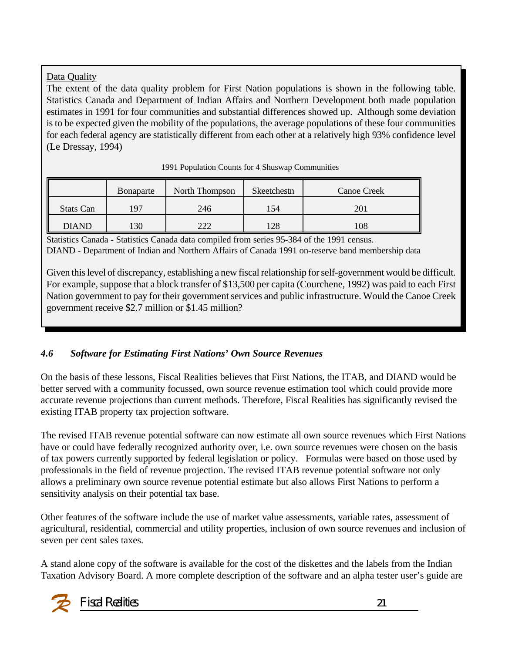#### Data Quality

The extent of the data quality problem for First Nation populations is shown in the following table. Statistics Canada and Department of Indian Affairs and Northern Development both made population estimates in 1991 for four communities and substantial differences showed up. Although some deviation is to be expected given the mobility of the populations, the average populations of these four communities for each federal agency are statistically different from each other at a relatively high 93% confidence level (Le Dressay, 1994)

|              | Bonaparte | North Thompson | Skeetchestn | <b>Canoe Creek</b> |
|--------------|-----------|----------------|-------------|--------------------|
| Stats Can    | $\Omega$  | 246            | 154         | 201                |
| <b>DIAND</b> | 30        | າາາ            | 128         | 108                |

1991 Population Counts for 4 Shuswap Communities

Statistics Canada - Statistics Canada data compiled from series 95-384 of the 1991 census. DIAND - Department of Indian and Northern Affairs of Canada 1991 on-reserve band membership data

Given this level of discrepancy, establishing a new fiscal relationship for self-government would be difficult. For example, suppose that a block transfer of \$13,500 per capita (Courchene, 1992) was paid to each First Nation government to pay for their government services and public infrastructure. Would the Canoe Creek government receive \$2.7 million or \$1.45 million?

#### *4.6 Software for Estimating First Nations' Own Source Revenues*

On the basis of these lessons, Fiscal Realities believes that First Nations, the ITAB, and DIAND would be better served with a community focussed, own source revenue estimation tool which could provide more accurate revenue projections than current methods. Therefore, Fiscal Realities has significantly revised the existing ITAB property tax projection software.

The revised ITAB revenue potential software can now estimate all own source revenues which First Nations have or could have federally recognized authority over, i.e. own source revenues were chosen on the basis of tax powers currently supported by federal legislation or policy. Formulas were based on those used by professionals in the field of revenue projection. The revised ITAB revenue potential software not only allows a preliminary own source revenue potential estimate but also allows First Nations to perform a sensitivity analysis on their potential tax base.

Other features of the software include the use of market value assessments, variable rates, assessment of agricultural, residential, commercial and utility properties, inclusion of own source revenues and inclusion of seven per cent sales taxes.

A stand alone copy of the software is available for the cost of the diskettes and the labels from the Indian Taxation Advisory Board. A more complete description of the software and an alpha tester user's guide are

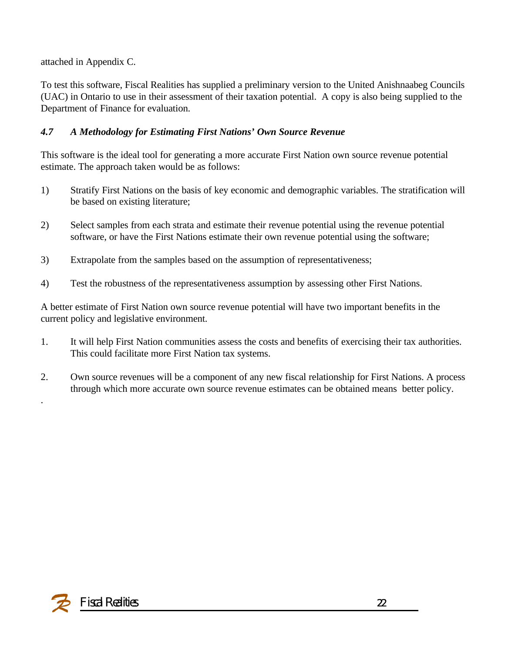attached in Appendix C.

To test this software, Fiscal Realities has supplied a preliminary version to the United Anishnaabeg Councils (UAC) in Ontario to use in their assessment of their taxation potential. A copy is also being supplied to the Department of Finance for evaluation.

### *4.7 A Methodology for Estimating First Nations' Own Source Revenue*

This software is the ideal tool for generating a more accurate First Nation own source revenue potential estimate. The approach taken would be as follows:

- 1) Stratify First Nations on the basis of key economic and demographic variables. The stratification will be based on existing literature;
- 2) Select samples from each strata and estimate their revenue potential using the revenue potential software, or have the First Nations estimate their own revenue potential using the software;
- 3) Extrapolate from the samples based on the assumption of representativeness;
- 4) Test the robustness of the representativeness assumption by assessing other First Nations.

A better estimate of First Nation own source revenue potential will have two important benefits in the current policy and legislative environment.

- 1. It will help First Nation communities assess the costs and benefits of exercising their tax authorities. This could facilitate more First Nation tax systems.
- 2. Own source revenues will be a component of any new fiscal relationship for First Nations. A process through which more accurate own source revenue estimates can be obtained means better policy.



.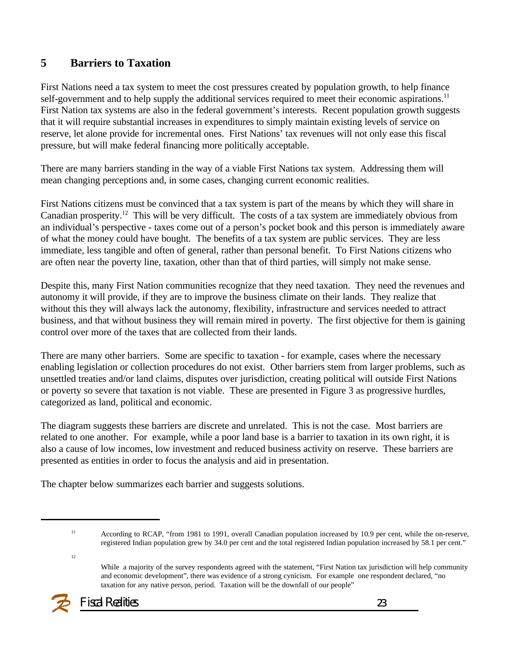### **5 Barriers to Taxation**

First Nations need a tax system to meet the cost pressures created by population growth, to help finance self-government and to help supply the additional services required to meet their economic aspirations.<sup>11</sup> First Nation tax systems are also in the federal government's interests. Recent population growth suggests that it will require substantial increases in expenditures to simply maintain existing levels of service on reserve, let alone provide for incremental ones. First Nations' tax revenues will not only ease this fiscal pressure, but will make federal financing more politically acceptable.

There are many barriers standing in the way of a viable First Nations tax system. Addressing them will mean changing perceptions and, in some cases, changing current economic realities.

First Nations citizens must be convinced that a tax system is part of the means by which they will share in Canadian prosperity.<sup>12</sup> This will be very difficult. The costs of a tax system are immediately obvious from an individual's perspective - taxes come out of a person's pocket book and this person is immediately aware of what the money could have bought. The benefits of a tax system are public services. They are less immediate, less tangible and often of general, rather than personal benefit. To First Nations citizens who are often near the poverty line, taxation, other than that of third parties, will simply not make sense.

Despite this, many First Nation communities recognize that they need taxation. They need the revenues and autonomy it will provide, if they are to improve the business climate on their lands. They realize that without this they will always lack the autonomy, flexibility, infrastructure and services needed to attract business, and that without business they will remain mired in poverty. The first objective for them is gaining control over more of the taxes that are collected from their lands.

There are many other barriers. Some are specific to taxation - for example, cases where the necessary enabling legislation or collection procedures do not exist. Other barriers stem from larger problems, such as unsettled treaties and/or land claims, disputes over jurisdiction, creating political will outside First Nations or poverty so severe that taxation is not viable. These are presented in Figure 3 as progressive hurdles, categorized as land, political and economic.

The diagram suggests these barriers are discrete and unrelated. This is not the case. Most barriers are related to one another. For example, while a poor land base is a barrier to taxation in its own right, it is also a cause of low incomes, low investment and reduced business activity on reserve. These barriers are presented as entities in order to focus the analysis and aid in presentation.

The chapter below summarizes each barrier and suggests solutions.

12

While a majority of the survey respondents agreed with the statement, "First Nation tax jurisdiction will help community and economic development", there was evidence of a strong cynicism. For example one respondent declared, "no taxation for any native person, period. Taxation will be the downfall of our people"



<sup>&</sup>lt;sup>11</sup> According to RCAP, "from 1981 to 1991, overall Canadian population increased by 10.9 per cent, while the on-reserve, registered Indian population grew by 34.0 per cent and the total registered Indian population increased by 58.1 per cent."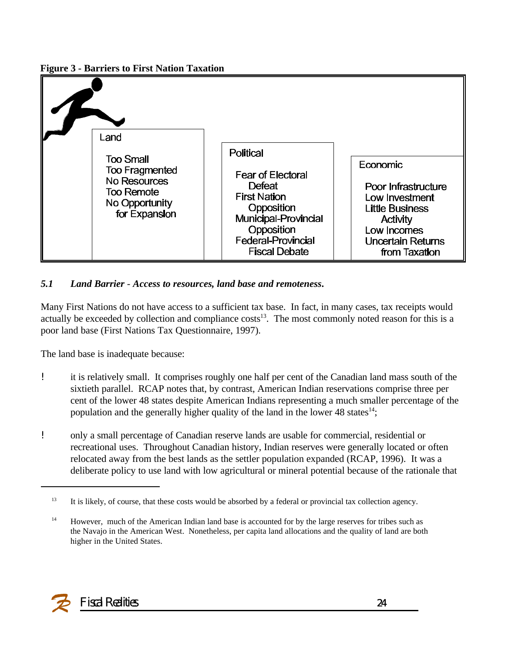**Figure 3 - Barriers to First Nation Taxation**



#### *5.1 Land Barrier - Access to resources, land base and remoteness***.**

Many First Nations do not have access to a sufficient tax base. In fact, in many cases, tax receipts would actually be exceeded by collection and compliance  $costs<sup>13</sup>$ . The most commonly noted reason for this is a poor land base (First Nations Tax Questionnaire, 1997).

The land base is inadequate because:

- ! it is relatively small. It comprises roughly one half per cent of the Canadian land mass south of the sixtieth parallel. RCAP notes that, by contrast, American Indian reservations comprise three per cent of the lower 48 states despite American Indians representing a much smaller percentage of the population and the generally higher quality of the land in the lower 48 states $14$ ;
- ! only a small percentage of Canadian reserve lands are usable for commercial, residential or recreational uses. Throughout Canadian history, Indian reserves were generally located or often relocated away from the best lands as the settler population expanded (RCAP, 1996). It was a deliberate policy to use land with low agricultural or mineral potential because of the rationale that



<sup>&</sup>lt;sup>13</sup> It is likely, of course, that these costs would be absorbed by a federal or provincial tax collection agency.

<sup>&</sup>lt;sup>14</sup> However, much of the American Indian land base is accounted for by the large reserves for tribes such as the Navajo in the American West. Nonetheless, per capita land allocations and the quality of land are both higher in the United States.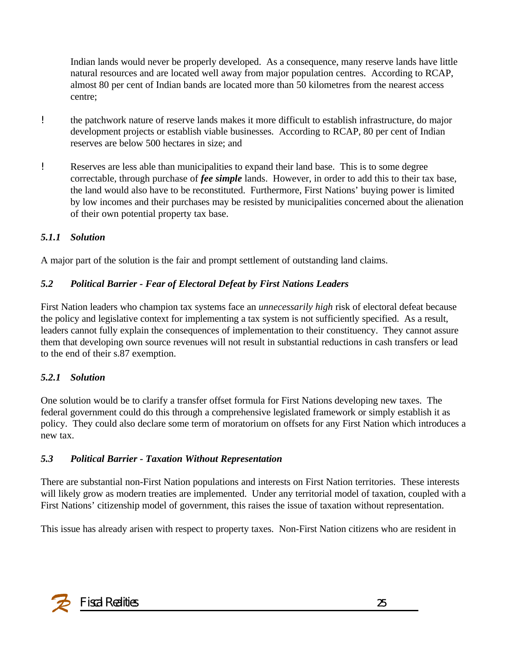Indian lands would never be properly developed. As a consequence, many reserve lands have little natural resources and are located well away from major population centres. According to RCAP, almost 80 per cent of Indian bands are located more than 50 kilometres from the nearest access centre;

- ! the patchwork nature of reserve lands makes it more difficult to establish infrastructure, do major development projects or establish viable businesses. According to RCAP, 80 per cent of Indian reserves are below 500 hectares in size; and
- ! Reserves are less able than municipalities to expand their land base. This is to some degree correctable, through purchase of *fee simple* lands. However, in order to add this to their tax base, the land would also have to be reconstituted. Furthermore, First Nations' buying power is limited by low incomes and their purchases may be resisted by municipalities concerned about the alienation of their own potential property tax base.

#### *5.1.1 Solution*

A major part of the solution is the fair and prompt settlement of outstanding land claims.

#### *5.2 Political Barrier - Fear of Electoral Defeat by First Nations Leaders*

First Nation leaders who champion tax systems face an *unnecessarily high* risk of electoral defeat because the policy and legislative context for implementing a tax system is not sufficiently specified. As a result, leaders cannot fully explain the consequences of implementation to their constituency. They cannot assure them that developing own source revenues will not result in substantial reductions in cash transfers or lead to the end of their s.87 exemption.

#### *5.2.1 Solution*

One solution would be to clarify a transfer offset formula for First Nations developing new taxes. The federal government could do this through a comprehensive legislated framework or simply establish it as policy. They could also declare some term of moratorium on offsets for any First Nation which introduces a new tax.

#### *5.3 Political Barrier - Taxation Without Representation*

There are substantial non-First Nation populations and interests on First Nation territories. These interests will likely grow as modern treaties are implemented. Under any territorial model of taxation, coupled with a First Nations' citizenship model of government, this raises the issue of taxation without representation.

This issue has already arisen with respect to property taxes. Non-First Nation citizens who are resident in

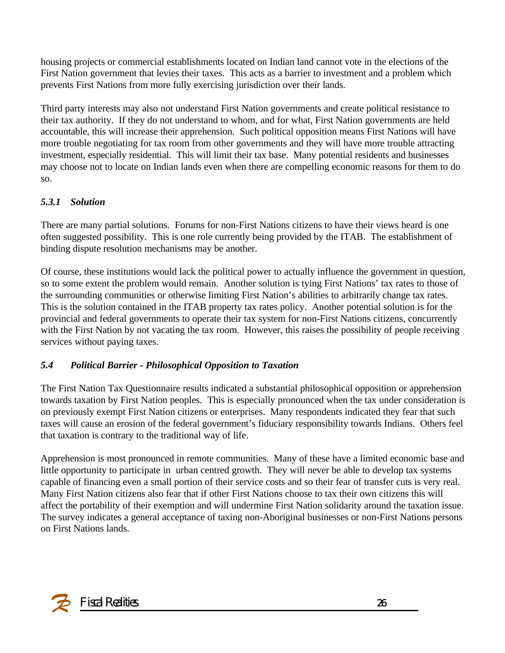housing projects or commercial establishments located on Indian land cannot vote in the elections of the First Nation government that levies their taxes. This acts as a barrier to investment and a problem which prevents First Nations from more fully exercising jurisdiction over their lands.

Third party interests may also not understand First Nation governments and create political resistance to their tax authority. If they do not understand to whom, and for what, First Nation governments are held accountable, this will increase their apprehension. Such political opposition means First Nations will have more trouble negotiating for tax room from other governments and they will have more trouble attracting investment, especially residential. This will limit their tax base. Many potential residents and businesses may choose not to locate on Indian lands even when there are compelling economic reasons for them to do so.

#### *5.3.1 Solution*

There are many partial solutions. Forums for non-First Nations citizens to have their views heard is one often suggested possibility. This is one role currently being provided by the ITAB. The establishment of binding dispute resolution mechanisms may be another.

Of course, these institutions would lack the political power to actually influence the government in question, so to some extent the problem would remain. Another solution is tying First Nations' tax rates to those of the surrounding communities or otherwise limiting First Nation's abilities to arbitrarily change tax rates. This is the solution contained in the ITAB property tax rates policy. Another potential solution is for the provincial and federal governments to operate their tax system for non-First Nations citizens, concurrently with the First Nation by not vacating the tax room. However, this raises the possibility of people receiving services without paying taxes.

#### *5.4 Political Barrier - Philosophical Opposition to Taxation*

The First Nation Tax Questionnaire results indicated a substantial philosophical opposition or apprehension towards taxation by First Nation peoples. This is especially pronounced when the tax under consideration is on previously exempt First Nation citizens or enterprises. Many respondents indicated they fear that such taxes will cause an erosion of the federal government's fiduciary responsibility towards Indians. Others feel that taxation is contrary to the traditional way of life.

Apprehension is most pronounced in remote communities. Many of these have a limited economic base and little opportunity to participate in urban centred growth. They will never be able to develop tax systems capable of financing even a small portion of their service costs and so their fear of transfer cuts is very real. Many First Nation citizens also fear that if other First Nations choose to tax their own citizens this will affect the portability of their exemption and will undermine First Nation solidarity around the taxation issue. The survey indicates a general acceptance of taxing non-Aboriginal businesses or non-First Nations persons on First Nations lands.

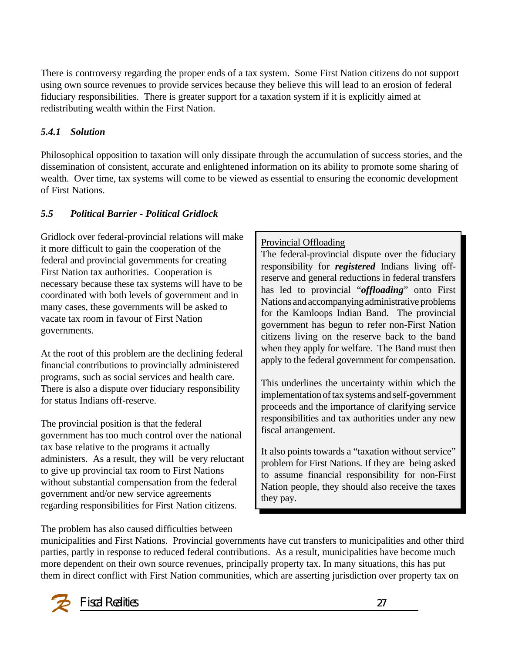There is controversy regarding the proper ends of a tax system. Some First Nation citizens do not support using own source revenues to provide services because they believe this will lead to an erosion of federal fiduciary responsibilities. There is greater support for a taxation system if it is explicitly aimed at redistributing wealth within the First Nation.

#### *5.4.1 Solution*

Philosophical opposition to taxation will only dissipate through the accumulation of success stories, and the dissemination of consistent, accurate and enlightened information on its ability to promote some sharing of wealth. Over time, tax systems will come to be viewed as essential to ensuring the economic development of First Nations.

### *5.5 Political Barrier* **-** *Political Gridlock*

Gridlock over federal-provincial relations will make it more difficult to gain the cooperation of the federal and provincial governments for creating First Nation tax authorities. Cooperation is necessary because these tax systems will have to be coordinated with both levels of government and in many cases, these governments will be asked to vacate tax room in favour of First Nation governments.

At the root of this problem are the declining federal financial contributions to provincially administered programs, such as social services and health care. There is also a dispute over fiduciary responsibility for status Indians off-reserve.

The provincial position is that the federal government has too much control over the national tax base relative to the programs it actually administers. As a result, they will be very reluctant to give up provincial tax room to First Nations without substantial compensation from the federal government and/or new service agreements regarding responsibilities for First Nation citizens.

#### Provincial Offloading

The federal-provincial dispute over the fiduciary responsibility for *registered* Indians living offreserve and general reductions in federal transfers has led to provincial "*offloading*" onto First Nations and accompanying administrative problems for the Kamloops Indian Band. The provincial government has begun to refer non-First Nation citizens living on the reserve back to the band when they apply for welfare. The Band must then apply to the federal government for compensation.

This underlines the uncertainty within which the implementation of tax systems and self-government proceeds and the importance of clarifying service responsibilities and tax authorities under any new fiscal arrangement.

It also points towards a "taxation without service" problem for First Nations. If they are being asked to assume financial responsibility for non-First Nation people, they should also receive the taxes they pay.

The problem has also caused difficulties between

municipalities and First Nations. Provincial governments have cut transfers to municipalities and other third parties, partly in response to reduced federal contributions. As a result, municipalities have become much more dependent on their own source revenues, principally property tax. In many situations, this has put them in direct conflict with First Nation communities, which are asserting jurisdiction over property tax on

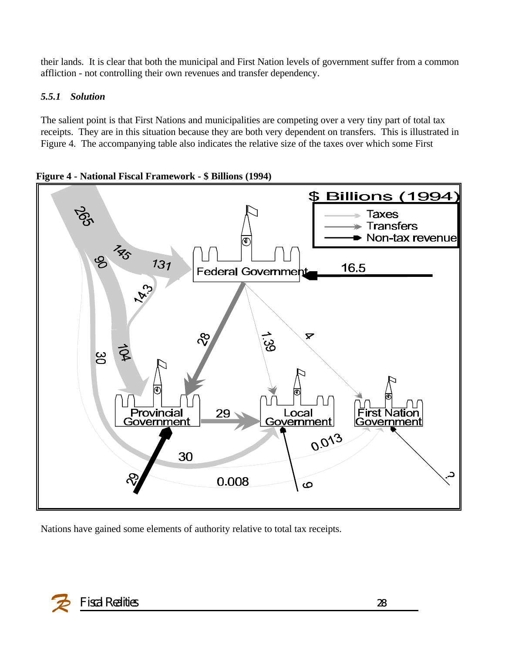their lands. It is clear that both the municipal and First Nation levels of government suffer from a common affliction - not controlling their own revenues and transfer dependency.

#### *5.5.1 Solution*

The salient point is that First Nations and municipalities are competing over a very tiny part of total tax receipts. They are in this situation because they are both very dependent on transfers. This is illustrated in Figure 4. The accompanying table also indicates the relative size of the taxes over which some First



**Figure 4 - National Fiscal Framework - \$ Billions (1994)**

Nations have gained some elements of authority relative to total tax receipts.

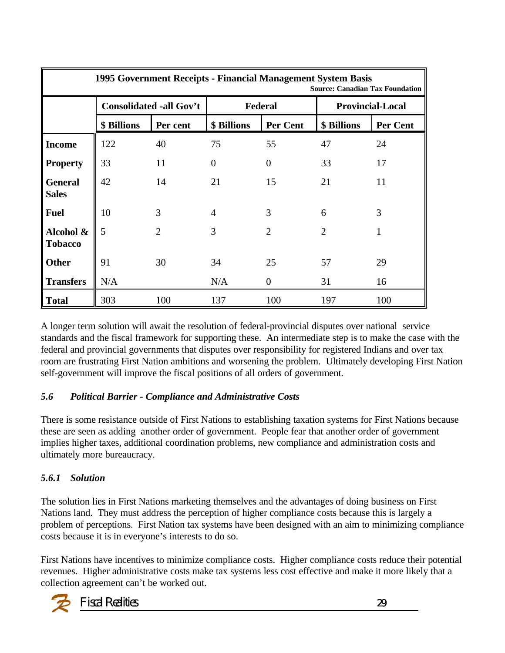|                                |                                | 1995 Government Receipts - Financial Management System Basis |                |                 | <b>Source: Canadian Tax Foundation</b> |                 |
|--------------------------------|--------------------------------|--------------------------------------------------------------|----------------|-----------------|----------------------------------------|-----------------|
|                                | <b>Consolidated -all Gov't</b> |                                                              | Federal        |                 | <b>Provincial-Local</b>                |                 |
|                                | \$ Billions                    | Per cent                                                     | \$ Billions    | <b>Per Cent</b> | \$ Billions                            | <b>Per Cent</b> |
| <b>Income</b>                  | 122                            | 40                                                           | 75             | 55              | 47                                     | 24              |
| <b>Property</b>                | 33                             | 11                                                           | $\theta$       | $\overline{0}$  | 33                                     | 17              |
| <b>General</b><br><b>Sales</b> | 42                             | 14                                                           | 21             | 15              | 21                                     | 11              |
| <b>Fuel</b>                    | 10                             | 3                                                            | $\overline{4}$ | 3               | 6                                      | 3               |
| Alcohol &<br><b>Tobacco</b>    | 5                              | $\overline{2}$                                               | 3              | 2               | $\overline{2}$                         |                 |
| <b>Other</b>                   | 91                             | 30                                                           | 34             | 25              | 57                                     | 29              |
| <b>Transfers</b>               | N/A                            |                                                              | N/A            | $\overline{0}$  | 31                                     | 16              |
| <b>Total</b>                   | 303                            | 100                                                          | 137            | 100             | 197                                    | 100             |

A longer term solution will await the resolution of federal-provincial disputes over national service standards and the fiscal framework for supporting these. An intermediate step is to make the case with the federal and provincial governments that disputes over responsibility for registered Indians and over tax room are frustrating First Nation ambitions and worsening the problem. Ultimately developing First Nation self-government will improve the fiscal positions of all orders of government.

#### *5.6 Political Barrier - Compliance and Administrative Costs*

There is some resistance outside of First Nations to establishing taxation systems for First Nations because these are seen as adding another order of government. People fear that another order of government implies higher taxes, additional coordination problems, new compliance and administration costs and ultimately more bureaucracy.

### *5.6.1 Solution*

The solution lies in First Nations marketing themselves and the advantages of doing business on First Nations land. They must address the perception of higher compliance costs because this is largely a problem of perceptions. First Nation tax systems have been designed with an aim to minimizing compliance costs because it is in everyone's interests to do so.

First Nations have incentives to minimize compliance costs. Higher compliance costs reduce their potential revenues. Higher administrative costs make tax systems less cost effective and make it more likely that a collection agreement can't be worked out.

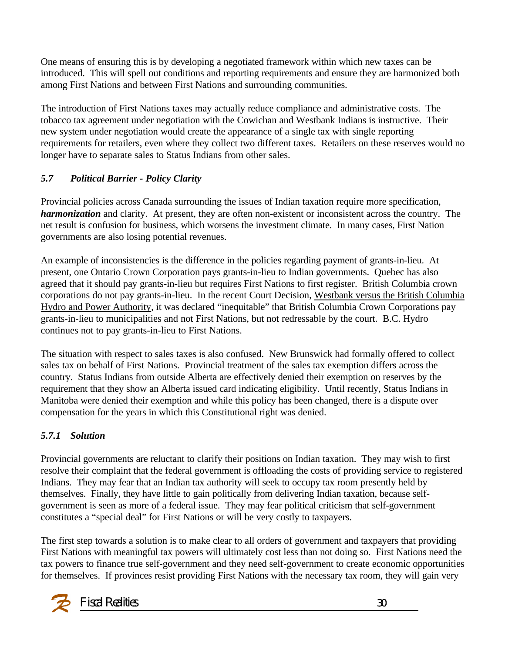One means of ensuring this is by developing a negotiated framework within which new taxes can be introduced. This will spell out conditions and reporting requirements and ensure they are harmonized both among First Nations and between First Nations and surrounding communities.

The introduction of First Nations taxes may actually reduce compliance and administrative costs. The tobacco tax agreement under negotiation with the Cowichan and Westbank Indians is instructive. Their new system under negotiation would create the appearance of a single tax with single reporting requirements for retailers, even where they collect two different taxes. Retailers on these reserves would no longer have to separate sales to Status Indians from other sales.

#### *5.7 Political Barrier - Policy Clarity*

Provincial policies across Canada surrounding the issues of Indian taxation require more specification, *harmonization* and clarity. At present, they are often non-existent or inconsistent across the country. The net result is confusion for business, which worsens the investment climate. In many cases, First Nation governments are also losing potential revenues.

An example of inconsistencies is the difference in the policies regarding payment of grants-in-lieu. At present, one Ontario Crown Corporation pays grants-in-lieu to Indian governments. Quebec has also agreed that it should pay grants-in-lieu but requires First Nations to first register. British Columbia crown corporations do not pay grants-in-lieu. In the recent Court Decision, Westbank versus the British Columbia Hydro and Power Authority, it was declared "inequitable" that British Columbia Crown Corporations pay grants-in-lieu to municipalities and not First Nations, but not redressable by the court. B.C. Hydro continues not to pay grants-in-lieu to First Nations.

The situation with respect to sales taxes is also confused. New Brunswick had formally offered to collect sales tax on behalf of First Nations. Provincial treatment of the sales tax exemption differs across the country. Status Indians from outside Alberta are effectively denied their exemption on reserves by the requirement that they show an Alberta issued card indicating eligibility. Until recently, Status Indians in Manitoba were denied their exemption and while this policy has been changed, there is a dispute over compensation for the years in which this Constitutional right was denied.

#### *5.7.1 Solution*

Provincial governments are reluctant to clarify their positions on Indian taxation. They may wish to first resolve their complaint that the federal government is offloading the costs of providing service to registered Indians. They may fear that an Indian tax authority will seek to occupy tax room presently held by themselves. Finally, they have little to gain politically from delivering Indian taxation, because selfgovernment is seen as more of a federal issue. They may fear political criticism that self-government constitutes a "special deal" for First Nations or will be very costly to taxpayers.

The first step towards a solution is to make clear to all orders of government and taxpayers that providing First Nations with meaningful tax powers will ultimately cost less than not doing so. First Nations need the tax powers to finance true self-government and they need self-government to create economic opportunities for themselves. If provinces resist providing First Nations with the necessary tax room, they will gain very

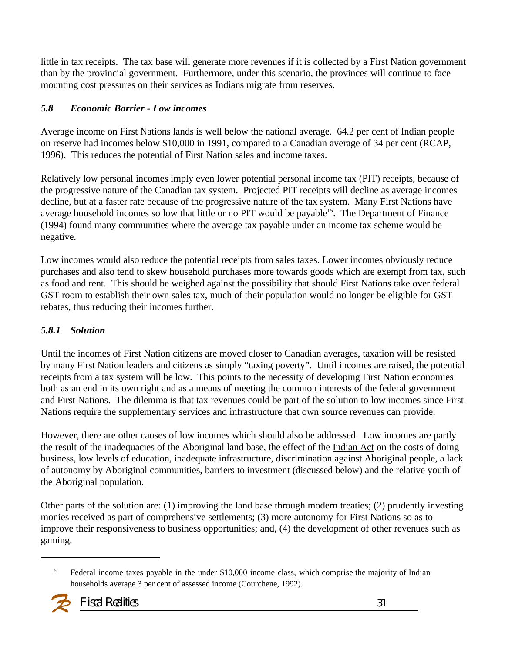little in tax receipts. The tax base will generate more revenues if it is collected by a First Nation government than by the provincial government. Furthermore, under this scenario, the provinces will continue to face mounting cost pressures on their services as Indians migrate from reserves.

#### *5.8 Economic Barrier - Low incomes*

Average income on First Nations lands is well below the national average. 64.2 per cent of Indian people on reserve had incomes below \$10,000 in 1991, compared to a Canadian average of 34 per cent (RCAP, 1996). This reduces the potential of First Nation sales and income taxes.

Relatively low personal incomes imply even lower potential personal income tax (PIT) receipts, because of the progressive nature of the Canadian tax system. Projected PIT receipts will decline as average incomes decline, but at a faster rate because of the progressive nature of the tax system. Many First Nations have average household incomes so low that little or no PIT would be payable<sup>15</sup>. The Department of Finance (1994) found many communities where the average tax payable under an income tax scheme would be negative.

Low incomes would also reduce the potential receipts from sales taxes. Lower incomes obviously reduce purchases and also tend to skew household purchases more towards goods which are exempt from tax, such as food and rent. This should be weighed against the possibility that should First Nations take over federal GST room to establish their own sales tax, much of their population would no longer be eligible for GST rebates, thus reducing their incomes further.

#### *5.8.1 Solution*

Until the incomes of First Nation citizens are moved closer to Canadian averages, taxation will be resisted by many First Nation leaders and citizens as simply "taxing poverty". Until incomes are raised, the potential receipts from a tax system will be low. This points to the necessity of developing First Nation economies both as an end in its own right and as a means of meeting the common interests of the federal government and First Nations. The dilemma is that tax revenues could be part of the solution to low incomes since First Nations require the supplementary services and infrastructure that own source revenues can provide.

However, there are other causes of low incomes which should also be addressed. Low incomes are partly the result of the inadequacies of the Aboriginal land base, the effect of the Indian Act on the costs of doing business, low levels of education, inadequate infrastructure, discrimination against Aboriginal people, a lack of autonomy by Aboriginal communities, barriers to investment (discussed below) and the relative youth of the Aboriginal population.

Other parts of the solution are: (1) improving the land base through modern treaties; (2) prudently investing monies received as part of comprehensive settlements; (3) more autonomy for First Nations so as to improve their responsiveness to business opportunities; and, (4) the development of other revenues such as gaming.

Federal income taxes payable in the under \$10,000 income class, which comprise the majority of Indian households average 3 per cent of assessed income (Courchene, 1992).

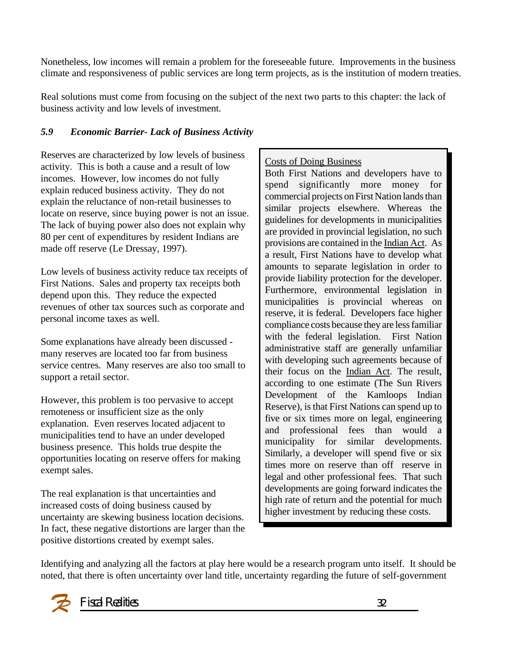Nonetheless, low incomes will remain a problem for the foreseeable future. Improvements in the business climate and responsiveness of public services are long term projects, as is the institution of modern treaties.

Real solutions must come from focusing on the subject of the next two parts to this chapter: the lack of business activity and low levels of investment.

#### *5.9 Economic Barrier- Lack of Business Activity*

Reserves are characterized by low levels of business activity. This is both a cause and a result of low incomes. However, low incomes do not fully explain reduced business activity. They do not explain the reluctance of non-retail businesses to locate on reserve, since buying power is not an issue. The lack of buying power also does not explain why 80 per cent of expenditures by resident Indians are made off reserve (Le Dressay, 1997).

Low levels of business activity reduce tax receipts of First Nations. Sales and property tax receipts both depend upon this. They reduce the expected revenues of other tax sources such as corporate and personal income taxes as well.

Some explanations have already been discussed many reserves are located too far from business service centres. Many reserves are also too small to support a retail sector.

However, this problem is too pervasive to accept remoteness or insufficient size as the only explanation. Even reserves located adjacent to municipalities tend to have an under developed business presence. This holds true despite the opportunities locating on reserve offers for making exempt sales.

The real explanation is that uncertainties and increased costs of doing business caused by uncertainty are skewing business location decisions. In fact, these negative distortions are larger than the positive distortions created by exempt sales.

#### Costs of Doing Business

Both First Nations and developers have to spend significantly more money for commercial projects on First Nation lands than similar projects elsewhere. Whereas the guidelines for developments in municipalities are provided in provincial legislation, no such provisions are contained in the Indian Act. As a result, First Nations have to develop what amounts to separate legislation in order to provide liability protection for the developer. Furthermore, environmental legislation in municipalities is provincial whereas on reserve, it is federal. Developers face higher compliance costs because they are less familiar with the federal legislation. First Nation administrative staff are generally unfamiliar with developing such agreements because of their focus on the Indian Act. The result, according to one estimate (The Sun Rivers Development of the Kamloops Indian Reserve), is that First Nations can spend up to five or six times more on legal, engineering and professional fees than would a municipality for similar developments. Similarly, a developer will spend five or six times more on reserve than off reserve in legal and other professional fees. That such developments are going forward indicates the high rate of return and the potential for much higher investment by reducing these costs.

Identifying and analyzing all the factors at play here would be a research program unto itself. It should be noted, that there is often uncertainty over land title, uncertainty regarding the future of self-government

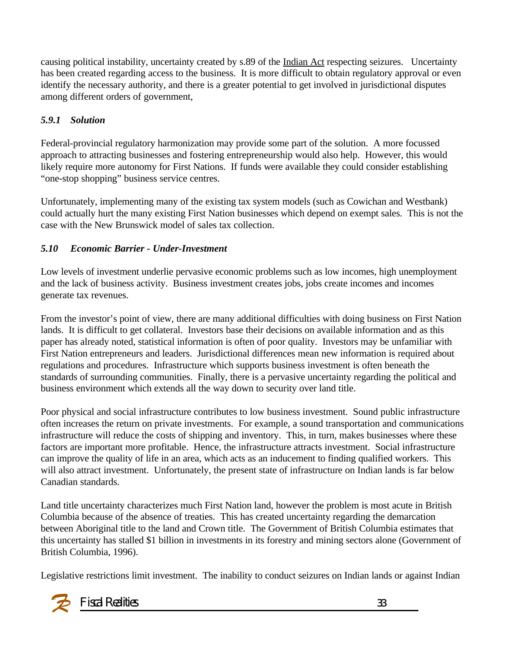causing political instability, uncertainty created by s.89 of the Indian Act respecting seizures. Uncertainty has been created regarding access to the business. It is more difficult to obtain regulatory approval or even identify the necessary authority, and there is a greater potential to get involved in jurisdictional disputes among different orders of government,

### *5.9.1 Solution*

Federal-provincial regulatory harmonization may provide some part of the solution. A more focussed approach to attracting businesses and fostering entrepreneurship would also help. However, this would likely require more autonomy for First Nations. If funds were available they could consider establishing "one-stop shopping" business service centres.

Unfortunately, implementing many of the existing tax system models (such as Cowichan and Westbank) could actually hurt the many existing First Nation businesses which depend on exempt sales. This is not the case with the New Brunswick model of sales tax collection.

### *5.10 Economic Barrier - Under-Investment*

Low levels of investment underlie pervasive economic problems such as low incomes, high unemployment and the lack of business activity. Business investment creates jobs, jobs create incomes and incomes generate tax revenues.

From the investor's point of view, there are many additional difficulties with doing business on First Nation lands. It is difficult to get collateral. Investors base their decisions on available information and as this paper has already noted, statistical information is often of poor quality. Investors may be unfamiliar with First Nation entrepreneurs and leaders. Jurisdictional differences mean new information is required about regulations and procedures. Infrastructure which supports business investment is often beneath the standards of surrounding communities. Finally, there is a pervasive uncertainty regarding the political and business environment which extends all the way down to security over land title.

Poor physical and social infrastructure contributes to low business investment. Sound public infrastructure often increases the return on private investments. For example, a sound transportation and communications infrastructure will reduce the costs of shipping and inventory. This, in turn, makes businesses where these factors are important more profitable. Hence, the infrastructure attracts investment. Social infrastructure can improve the quality of life in an area, which acts as an inducement to finding qualified workers. This will also attract investment. Unfortunately, the present state of infrastructure on Indian lands is far below Canadian standards.

Land title uncertainty characterizes much First Nation land, however the problem is most acute in British Columbia because of the absence of treaties. This has created uncertainty regarding the demarcation between Aboriginal title to the land and Crown title. The Government of British Columbia estimates that this uncertainty has stalled \$1 billion in investments in its forestry and mining sectors alone (Government of British Columbia, 1996).

Legislative restrictions limit investment. The inability to conduct seizures on Indian lands or against Indian

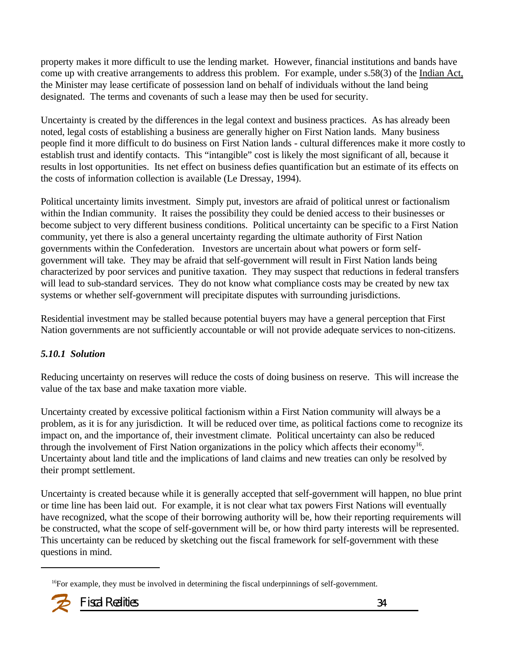property makes it more difficult to use the lending market. However, financial institutions and bands have come up with creative arrangements to address this problem. For example, under s.58(3) of the Indian Act, the Minister may lease certificate of possession land on behalf of individuals without the land being designated. The terms and covenants of such a lease may then be used for security.

Uncertainty is created by the differences in the legal context and business practices. As has already been noted, legal costs of establishing a business are generally higher on First Nation lands. Many business people find it more difficult to do business on First Nation lands - cultural differences make it more costly to establish trust and identify contacts. This "intangible" cost is likely the most significant of all, because it results in lost opportunities. Its net effect on business defies quantification but an estimate of its effects on the costs of information collection is available (Le Dressay, 1994).

Political uncertainty limits investment. Simply put, investors are afraid of political unrest or factionalism within the Indian community. It raises the possibility they could be denied access to their businesses or become subject to very different business conditions. Political uncertainty can be specific to a First Nation community, yet there is also a general uncertainty regarding the ultimate authority of First Nation governments within the Confederation. Investors are uncertain about what powers or form selfgovernment will take. They may be afraid that self-government will result in First Nation lands being characterized by poor services and punitive taxation. They may suspect that reductions in federal transfers will lead to sub-standard services. They do not know what compliance costs may be created by new tax systems or whether self-government will precipitate disputes with surrounding jurisdictions.

Residential investment may be stalled because potential buyers may have a general perception that First Nation governments are not sufficiently accountable or will not provide adequate services to non-citizens.

#### *5.10.1 Solution*

Reducing uncertainty on reserves will reduce the costs of doing business on reserve. This will increase the value of the tax base and make taxation more viable.

Uncertainty created by excessive political factionism within a First Nation community will always be a problem, as it is for any jurisdiction. It will be reduced over time, as political factions come to recognize its impact on, and the importance of, their investment climate. Political uncertainty can also be reduced through the involvement of First Nation organizations in the policy which affects their economy<sup>16</sup>. Uncertainty about land title and the implications of land claims and new treaties can only be resolved by their prompt settlement.

Uncertainty is created because while it is generally accepted that self-government will happen, no blue print or time line has been laid out. For example, it is not clear what tax powers First Nations will eventually have recognized, what the scope of their borrowing authority will be, how their reporting requirements will be constructed, what the scope of self-government will be, or how third party interests will be represented. This uncertainty can be reduced by sketching out the fiscal framework for self-government with these questions in mind.

 $16$ For example, they must be involved in determining the fiscal underpinnings of self-government.

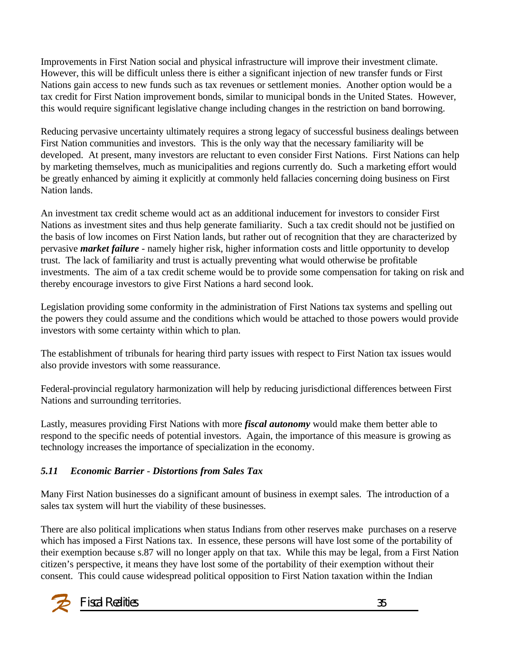Improvements in First Nation social and physical infrastructure will improve their investment climate. However, this will be difficult unless there is either a significant injection of new transfer funds or First Nations gain access to new funds such as tax revenues or settlement monies. Another option would be a tax credit for First Nation improvement bonds, similar to municipal bonds in the United States. However, this would require significant legislative change including changes in the restriction on band borrowing.

Reducing pervasive uncertainty ultimately requires a strong legacy of successful business dealings between First Nation communities and investors. This is the only way that the necessary familiarity will be developed. At present, many investors are reluctant to even consider First Nations. First Nations can help by marketing themselves, much as municipalities and regions currently do. Such a marketing effort would be greatly enhanced by aiming it explicitly at commonly held fallacies concerning doing business on First Nation lands.

An investment tax credit scheme would act as an additional inducement for investors to consider First Nations as investment sites and thus help generate familiarity. Such a tax credit should not be justified on the basis of low incomes on First Nation lands, but rather out of recognition that they are characterized by pervasive *market failure* - namely higher risk, higher information costs and little opportunity to develop trust. The lack of familiarity and trust is actually preventing what would otherwise be profitable investments. The aim of a tax credit scheme would be to provide some compensation for taking on risk and thereby encourage investors to give First Nations a hard second look.

Legislation providing some conformity in the administration of First Nations tax systems and spelling out the powers they could assume and the conditions which would be attached to those powers would provide investors with some certainty within which to plan.

The establishment of tribunals for hearing third party issues with respect to First Nation tax issues would also provide investors with some reassurance.

Federal-provincial regulatory harmonization will help by reducing jurisdictional differences between First Nations and surrounding territories.

Lastly, measures providing First Nations with more *fiscal autonomy* would make them better able to respond to the specific needs of potential investors. Again, the importance of this measure is growing as technology increases the importance of specialization in the economy.

#### *5.11 Economic Barrier - Distortions from Sales Tax*

Many First Nation businesses do a significant amount of business in exempt sales. The introduction of a sales tax system will hurt the viability of these businesses.

There are also political implications when status Indians from other reserves make purchases on a reserve which has imposed a First Nations tax. In essence, these persons will have lost some of the portability of their exemption because s.87 will no longer apply on that tax. While this may be legal, from a First Nation citizen's perspective, it means they have lost some of the portability of their exemption without their consent. This could cause widespread political opposition to First Nation taxation within the Indian

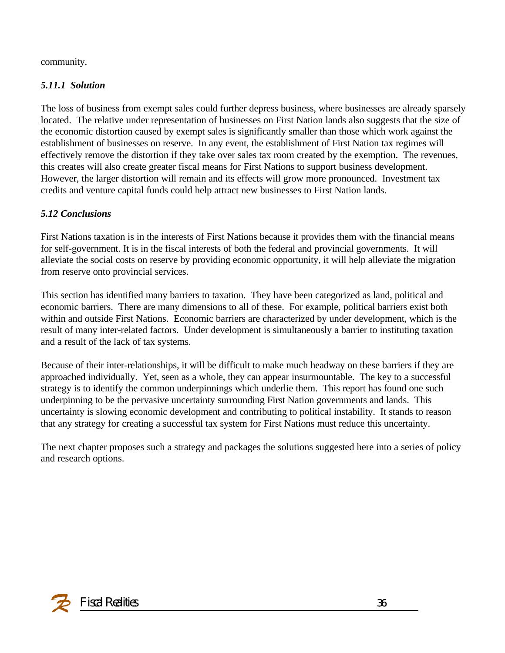community.

#### *5.11.1 Solution*

The loss of business from exempt sales could further depress business, where businesses are already sparsely located. The relative under representation of businesses on First Nation lands also suggests that the size of the economic distortion caused by exempt sales is significantly smaller than those which work against the establishment of businesses on reserve. In any event, the establishment of First Nation tax regimes will effectively remove the distortion if they take over sales tax room created by the exemption. The revenues, this creates will also create greater fiscal means for First Nations to support business development. However, the larger distortion will remain and its effects will grow more pronounced. Investment tax credits and venture capital funds could help attract new businesses to First Nation lands.

### *5.12 Conclusions*

First Nations taxation is in the interests of First Nations because it provides them with the financial means for self-government. It is in the fiscal interests of both the federal and provincial governments. It will alleviate the social costs on reserve by providing economic opportunity, it will help alleviate the migration from reserve onto provincial services.

This section has identified many barriers to taxation. They have been categorized as land, political and economic barriers. There are many dimensions to all of these. For example, political barriers exist both within and outside First Nations. Economic barriers are characterized by under development, which is the result of many inter-related factors. Under development is simultaneously a barrier to instituting taxation and a result of the lack of tax systems.

Because of their inter-relationships, it will be difficult to make much headway on these barriers if they are approached individually. Yet, seen as a whole, they can appear insurmountable. The key to a successful strategy is to identify the common underpinnings which underlie them. This report has found one such underpinning to be the pervasive uncertainty surrounding First Nation governments and lands. This uncertainty is slowing economic development and contributing to political instability. It stands to reason that any strategy for creating a successful tax system for First Nations must reduce this uncertainty.

The next chapter proposes such a strategy and packages the solutions suggested here into a series of policy and research options.

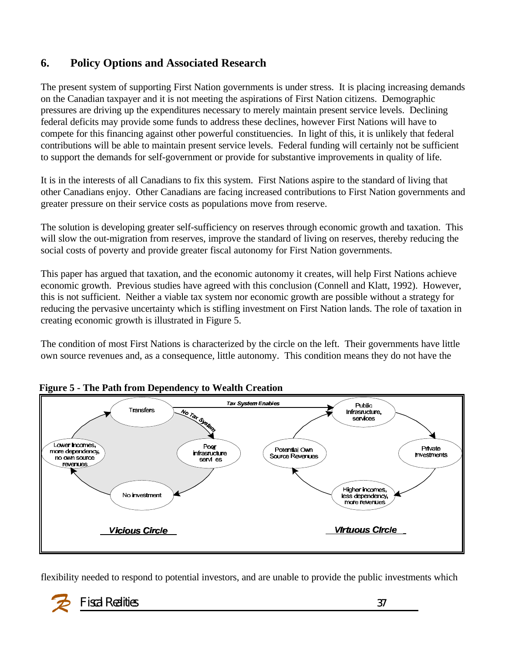### **6. Policy Options and Associated Research**

The present system of supporting First Nation governments is under stress. It is placing increasing demands on the Canadian taxpayer and it is not meeting the aspirations of First Nation citizens. Demographic pressures are driving up the expenditures necessary to merely maintain present service levels. Declining federal deficits may provide some funds to address these declines, however First Nations will have to compete for this financing against other powerful constituencies. In light of this, it is unlikely that federal contributions will be able to maintain present service levels. Federal funding will certainly not be sufficient to support the demands for self-government or provide for substantive improvements in quality of life.

It is in the interests of all Canadians to fix this system. First Nations aspire to the standard of living that other Canadians enjoy. Other Canadians are facing increased contributions to First Nation governments and greater pressure on their service costs as populations move from reserve.

The solution is developing greater self-sufficiency on reserves through economic growth and taxation. This will slow the out-migration from reserves, improve the standard of living on reserves, thereby reducing the social costs of poverty and provide greater fiscal autonomy for First Nation governments.

This paper has argued that taxation, and the economic autonomy it creates, will help First Nations achieve economic growth. Previous studies have agreed with this conclusion (Connell and Klatt, 1992). However, this is not sufficient. Neither a viable tax system nor economic growth are possible without a strategy for reducing the pervasive uncertainty which is stifling investment on First Nation lands. The role of taxation in creating economic growth is illustrated in Figure 5.

The condition of most First Nations is characterized by the circle on the left. Their governments have little own source revenues and, as a consequence, little autonomy. This condition means they do not have the



#### **Figure 5 - The Path from Dependency to Wealth Creation**

flexibility needed to respond to potential investors, and are unable to provide the public investments which

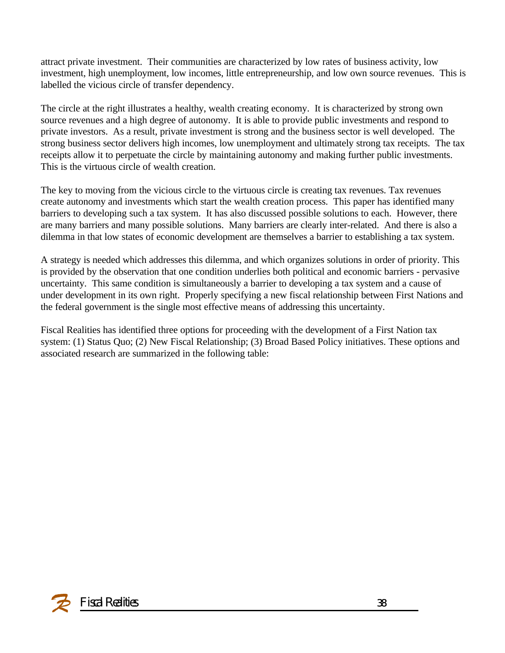attract private investment. Their communities are characterized by low rates of business activity, low investment, high unemployment, low incomes, little entrepreneurship, and low own source revenues. This is labelled the vicious circle of transfer dependency.

The circle at the right illustrates a healthy, wealth creating economy. It is characterized by strong own source revenues and a high degree of autonomy. It is able to provide public investments and respond to private investors. As a result, private investment is strong and the business sector is well developed. The strong business sector delivers high incomes, low unemployment and ultimately strong tax receipts. The tax receipts allow it to perpetuate the circle by maintaining autonomy and making further public investments. This is the virtuous circle of wealth creation.

The key to moving from the vicious circle to the virtuous circle is creating tax revenues. Tax revenues create autonomy and investments which start the wealth creation process. This paper has identified many barriers to developing such a tax system. It has also discussed possible solutions to each. However, there are many barriers and many possible solutions. Many barriers are clearly inter-related. And there is also a dilemma in that low states of economic development are themselves a barrier to establishing a tax system.

A strategy is needed which addresses this dilemma, and which organizes solutions in order of priority. This is provided by the observation that one condition underlies both political and economic barriers - pervasive uncertainty. This same condition is simultaneously a barrier to developing a tax system and a cause of under development in its own right. Properly specifying a new fiscal relationship between First Nations and the federal government is the single most effective means of addressing this uncertainty.

Fiscal Realities has identified three options for proceeding with the development of a First Nation tax system: (1) Status Quo; (2) New Fiscal Relationship; (3) Broad Based Policy initiatives. These options and associated research are summarized in the following table: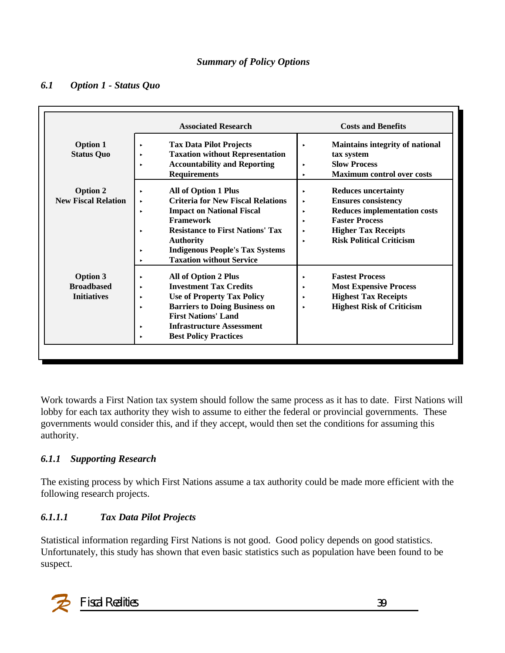#### *Summary of Policy Options*

#### *6.1 Option 1 - Status Quo*

|                                                            | <b>Associated Research</b>                                                                                                                                                                                                                                                                      | <b>Costs and Benefits</b>                                                                                                                                                                                               |
|------------------------------------------------------------|-------------------------------------------------------------------------------------------------------------------------------------------------------------------------------------------------------------------------------------------------------------------------------------------------|-------------------------------------------------------------------------------------------------------------------------------------------------------------------------------------------------------------------------|
| <b>Option 1</b><br><b>Status Quo</b>                       | <b>Tax Data Pilot Projects</b><br><b>Taxation without Representation</b><br><b>Accountability and Reporting</b><br><b>Requirements</b>                                                                                                                                                          | <b>Maintains integrity of national</b><br>×<br>tax system<br><b>Slow Process</b><br>н<br><b>Maximum control over costs</b><br>٠                                                                                         |
| <b>Option 2</b><br><b>New Fiscal Relation</b>              | <b>All of Option 1 Plus</b><br><b>Criteria for New Fiscal Relations</b><br>٠<br><b>Impact on National Fiscal</b><br>ь<br><b>Framework</b><br><b>Resistance to First Nations' Tax</b><br><b>Authority</b><br><b>Indigenous People's Tax Systems</b><br>ь<br><b>Taxation without Service</b><br>ь | <b>Reduces uncertainty</b><br>٠<br><b>Ensures consistency</b><br>×<br><b>Reduces implementation costs</b><br>٠<br><b>Faster Process</b><br>ь<br><b>Higher Tax Receipts</b><br>٠<br><b>Risk Political Criticism</b><br>ь |
| <b>Option 3</b><br><b>Broadbased</b><br><b>Initiatives</b> | <b>All of Option 2 Plus</b><br><b>Investment Tax Credits</b><br><b>Use of Property Tax Policy</b><br>٠<br><b>Barriers to Doing Business on</b><br>ь<br><b>First Nations' Land</b><br><b>Infrastructure Assessment</b><br>٠<br><b>Best Policy Practices</b>                                      | <b>Fastest Process</b><br>٠<br><b>Most Expensive Process</b><br>٠<br><b>Highest Tax Receipts</b><br>٠<br><b>Highest Risk of Criticism</b><br>٠                                                                          |

Work towards a First Nation tax system should follow the same process as it has to date. First Nations will lobby for each tax authority they wish to assume to either the federal or provincial governments. These governments would consider this, and if they accept, would then set the conditions for assuming this authority.

#### *6.1.1 Supporting Research*

The existing process by which First Nations assume a tax authority could be made more efficient with the following research projects.

#### *6.1.1.1 Tax Data Pilot Projects*

Statistical information regarding First Nations is not good. Good policy depends on good statistics. Unfortunately, this study has shown that even basic statistics such as population have been found to be suspect.

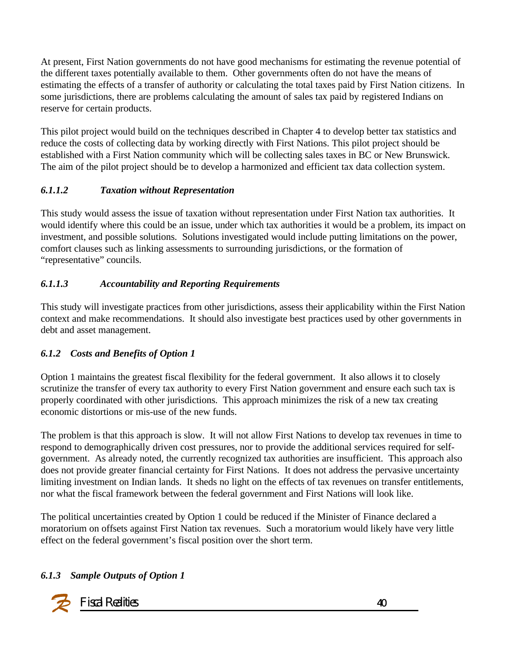At present, First Nation governments do not have good mechanisms for estimating the revenue potential of the different taxes potentially available to them. Other governments often do not have the means of estimating the effects of a transfer of authority or calculating the total taxes paid by First Nation citizens. In some jurisdictions, there are problems calculating the amount of sales tax paid by registered Indians on reserve for certain products.

This pilot project would build on the techniques described in Chapter 4 to develop better tax statistics and reduce the costs of collecting data by working directly with First Nations. This pilot project should be established with a First Nation community which will be collecting sales taxes in BC or New Brunswick. The aim of the pilot project should be to develop a harmonized and efficient tax data collection system.

#### *6.1.1.2 Taxation without Representation*

This study would assess the issue of taxation without representation under First Nation tax authorities. It would identify where this could be an issue, under which tax authorities it would be a problem, its impact on investment, and possible solutions. Solutions investigated would include putting limitations on the power, comfort clauses such as linking assessments to surrounding jurisdictions, or the formation of "representative" councils.

### *6.1.1.3 Accountability and Reporting Requirements*

This study will investigate practices from other jurisdictions, assess their applicability within the First Nation context and make recommendations. It should also investigate best practices used by other governments in debt and asset management.

### *6.1.2 Costs and Benefits of Option 1*

Option 1 maintains the greatest fiscal flexibility for the federal government. It also allows it to closely scrutinize the transfer of every tax authority to every First Nation government and ensure each such tax is properly coordinated with other jurisdictions. This approach minimizes the risk of a new tax creating economic distortions or mis-use of the new funds.

The problem is that this approach is slow. It will not allow First Nations to develop tax revenues in time to respond to demographically driven cost pressures, nor to provide the additional services required for selfgovernment. As already noted, the currently recognized tax authorities are insufficient. This approach also does not provide greater financial certainty for First Nations. It does not address the pervasive uncertainty limiting investment on Indian lands. It sheds no light on the effects of tax revenues on transfer entitlements, nor what the fiscal framework between the federal government and First Nations will look like.

The political uncertainties created by Option 1 could be reduced if the Minister of Finance declared a moratorium on offsets against First Nation tax revenues. Such a moratorium would likely have very little effect on the federal government's fiscal position over the short term.

#### *6.1.3 Sample Outputs of Option 1*

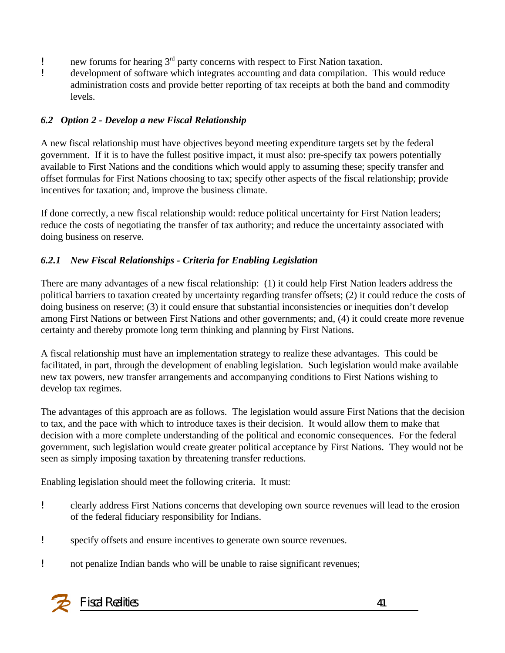- ! new forums for hearing 3rd party concerns with respect to First Nation taxation.
- ! development of software which integrates accounting and data compilation. This would reduce administration costs and provide better reporting of tax receipts at both the band and commodity levels.

#### *6.2 Option 2 - Develop a new Fiscal Relationship*

A new fiscal relationship must have objectives beyond meeting expenditure targets set by the federal government. If it is to have the fullest positive impact, it must also: pre-specify tax powers potentially available to First Nations and the conditions which would apply to assuming these; specify transfer and offset formulas for First Nations choosing to tax; specify other aspects of the fiscal relationship; provide incentives for taxation; and, improve the business climate.

If done correctly, a new fiscal relationship would: reduce political uncertainty for First Nation leaders; reduce the costs of negotiating the transfer of tax authority; and reduce the uncertainty associated with doing business on reserve.

### *6.2.1 New Fiscal Relationships - Criteria for Enabling Legislation*

There are many advantages of a new fiscal relationship: (1) it could help First Nation leaders address the political barriers to taxation created by uncertainty regarding transfer offsets; (2) it could reduce the costs of doing business on reserve; (3) it could ensure that substantial inconsistencies or inequities don't develop among First Nations or between First Nations and other governments; and, (4) it could create more revenue certainty and thereby promote long term thinking and planning by First Nations.

A fiscal relationship must have an implementation strategy to realize these advantages. This could be facilitated, in part, through the development of enabling legislation. Such legislation would make available new tax powers, new transfer arrangements and accompanying conditions to First Nations wishing to develop tax regimes.

The advantages of this approach are as follows. The legislation would assure First Nations that the decision to tax, and the pace with which to introduce taxes is their decision. It would allow them to make that decision with a more complete understanding of the political and economic consequences. For the federal government, such legislation would create greater political acceptance by First Nations. They would not be seen as simply imposing taxation by threatening transfer reductions.

Enabling legislation should meet the following criteria. It must:

- ! clearly address First Nations concerns that developing own source revenues will lead to the erosion of the federal fiduciary responsibility for Indians.
- ! specify offsets and ensure incentives to generate own source revenues.
- ! not penalize Indian bands who will be unable to raise significant revenues;

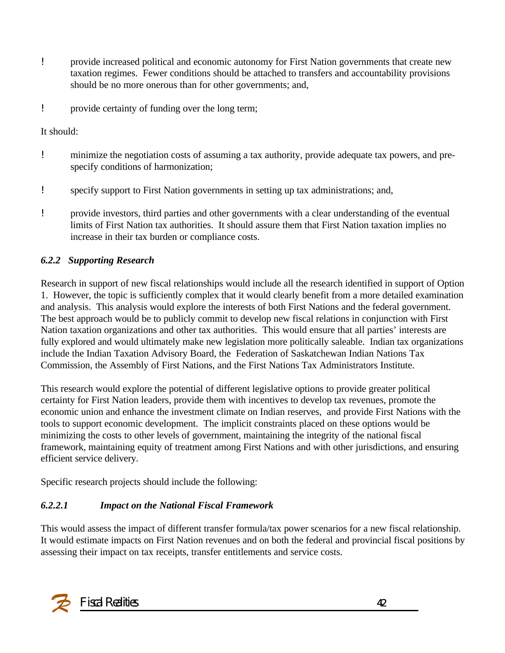- ! provide increased political and economic autonomy for First Nation governments that create new taxation regimes. Fewer conditions should be attached to transfers and accountability provisions should be no more onerous than for other governments; and,
- ! provide certainty of funding over the long term;

It should:

- ! minimize the negotiation costs of assuming a tax authority, provide adequate tax powers, and prespecify conditions of harmonization;
- ! specify support to First Nation governments in setting up tax administrations; and,
- ! provide investors, third parties and other governments with a clear understanding of the eventual limits of First Nation tax authorities. It should assure them that First Nation taxation implies no increase in their tax burden or compliance costs.

### *6.2.2 Supporting Research*

Research in support of new fiscal relationships would include all the research identified in support of Option 1. However, the topic is sufficiently complex that it would clearly benefit from a more detailed examination and analysis. This analysis would explore the interests of both First Nations and the federal government. The best approach would be to publicly commit to develop new fiscal relations in conjunction with First Nation taxation organizations and other tax authorities. This would ensure that all parties' interests are fully explored and would ultimately make new legislation more politically saleable. Indian tax organizations include the Indian Taxation Advisory Board, the Federation of Saskatchewan Indian Nations Tax Commission, the Assembly of First Nations, and the First Nations Tax Administrators Institute.

This research would explore the potential of different legislative options to provide greater political certainty for First Nation leaders, provide them with incentives to develop tax revenues, promote the economic union and enhance the investment climate on Indian reserves, and provide First Nations with the tools to support economic development. The implicit constraints placed on these options would be minimizing the costs to other levels of government, maintaining the integrity of the national fiscal framework, maintaining equity of treatment among First Nations and with other jurisdictions, and ensuring efficient service delivery.

Specific research projects should include the following:

### *6.2.2.1 Impact on the National Fiscal Framework*

This would assess the impact of different transfer formula/tax power scenarios for a new fiscal relationship. It would estimate impacts on First Nation revenues and on both the federal and provincial fiscal positions by assessing their impact on tax receipts, transfer entitlements and service costs.

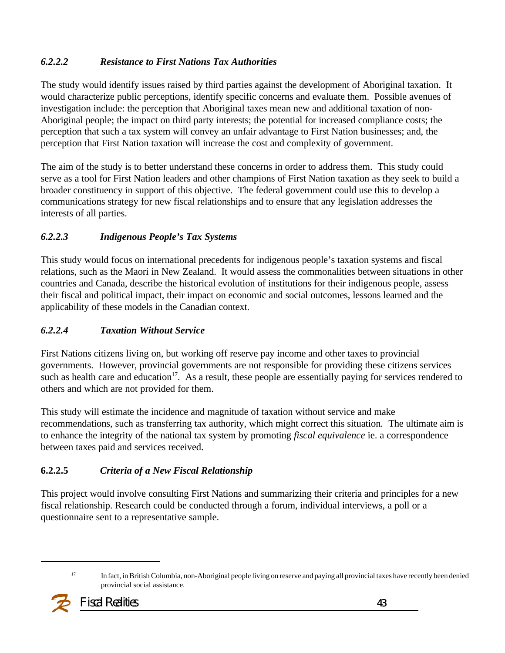### *6.2.2.2 Resistance to First Nations Tax Authorities*

The study would identify issues raised by third parties against the development of Aboriginal taxation. It would characterize public perceptions, identify specific concerns and evaluate them. Possible avenues of investigation include: the perception that Aboriginal taxes mean new and additional taxation of non-Aboriginal people; the impact on third party interests; the potential for increased compliance costs; the perception that such a tax system will convey an unfair advantage to First Nation businesses; and, the perception that First Nation taxation will increase the cost and complexity of government.

The aim of the study is to better understand these concerns in order to address them. This study could serve as a tool for First Nation leaders and other champions of First Nation taxation as they seek to build a broader constituency in support of this objective. The federal government could use this to develop a communications strategy for new fiscal relationships and to ensure that any legislation addresses the interests of all parties.

#### *6.2.2.3 Indigenous People's Tax Systems*

This study would focus on international precedents for indigenous people's taxation systems and fiscal relations, such as the Maori in New Zealand. It would assess the commonalities between situations in other countries and Canada, describe the historical evolution of institutions for their indigenous people, assess their fiscal and political impact, their impact on economic and social outcomes, lessons learned and the applicability of these models in the Canadian context.

### *6.2.2.4 Taxation Without Service*

First Nations citizens living on, but working off reserve pay income and other taxes to provincial governments. However, provincial governments are not responsible for providing these citizens services such as health care and education<sup>17</sup>. As a result, these people are essentially paying for services rendered to others and which are not provided for them.

This study will estimate the incidence and magnitude of taxation without service and make recommendations, such as transferring tax authority, which might correct this situation*.* The ultimate aim is to enhance the integrity of the national tax system by promoting *fiscal equivalence* ie. a correspondence between taxes paid and services received.

#### **6.2.2.5** *Criteria of a New Fiscal Relationship*

This project would involve consulting First Nations and summarizing their criteria and principles for a new fiscal relationship. Research could be conducted through a forum, individual interviews, a poll or a questionnaire sent to a representative sample.

<sup>&</sup>lt;sup>17</sup> In fact, in British Columbia, non-Aboriginal people living on reserve and paying all provincial taxes have recently been denied provincial social assistance.

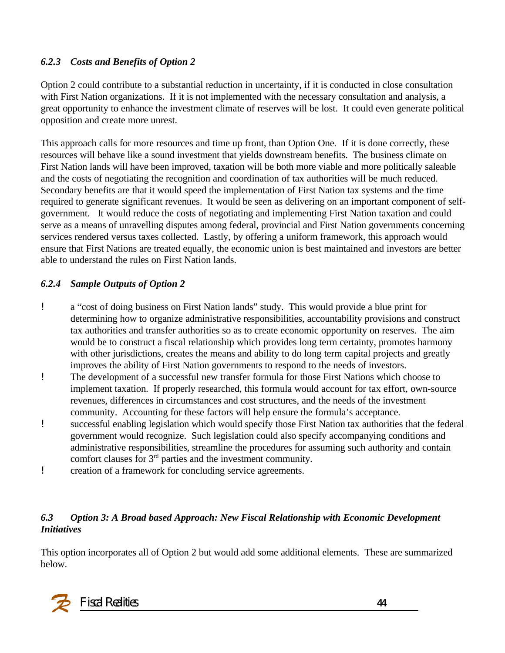#### *6.2.3 Costs and Benefits of Option 2*

Option 2 could contribute to a substantial reduction in uncertainty, if it is conducted in close consultation with First Nation organizations. If it is not implemented with the necessary consultation and analysis, a great opportunity to enhance the investment climate of reserves will be lost. It could even generate political opposition and create more unrest.

This approach calls for more resources and time up front, than Option One. If it is done correctly, these resources will behave like a sound investment that yields downstream benefits. The business climate on First Nation lands will have been improved, taxation will be both more viable and more politically saleable and the costs of negotiating the recognition and coordination of tax authorities will be much reduced. Secondary benefits are that it would speed the implementation of First Nation tax systems and the time required to generate significant revenues. It would be seen as delivering on an important component of selfgovernment. It would reduce the costs of negotiating and implementing First Nation taxation and could serve as a means of unravelling disputes among federal, provincial and First Nation governments concerning services rendered versus taxes collected. Lastly, by offering a uniform framework, this approach would ensure that First Nations are treated equally, the economic union is best maintained and investors are better able to understand the rules on First Nation lands.

#### *6.2.4 Sample Outputs of Option 2*

- ! a "cost of doing business on First Nation lands" study. This would provide a blue print for determining how to organize administrative responsibilities, accountability provisions and construct tax authorities and transfer authorities so as to create economic opportunity on reserves. The aim would be to construct a fiscal relationship which provides long term certainty, promotes harmony with other jurisdictions, creates the means and ability to do long term capital projects and greatly improves the ability of First Nation governments to respond to the needs of investors.
- ! The development of a successful new transfer formula for those First Nations which choose to implement taxation. If properly researched, this formula would account for tax effort, own-source revenues, differences in circumstances and cost structures, and the needs of the investment community. Accounting for these factors will help ensure the formula's acceptance.
- ! successful enabling legislation which would specify those First Nation tax authorities that the federal government would recognize. Such legislation could also specify accompanying conditions and administrative responsibilities, streamline the procedures for assuming such authority and contain comfort clauses for 3rd parties and the investment community.
- ! creation of a framework for concluding service agreements.

#### *6.3 Option 3: A Broad based Approach: New Fiscal Relationship with Economic Development Initiatives*

This option incorporates all of Option 2 but would add some additional elements. These are summarized below.

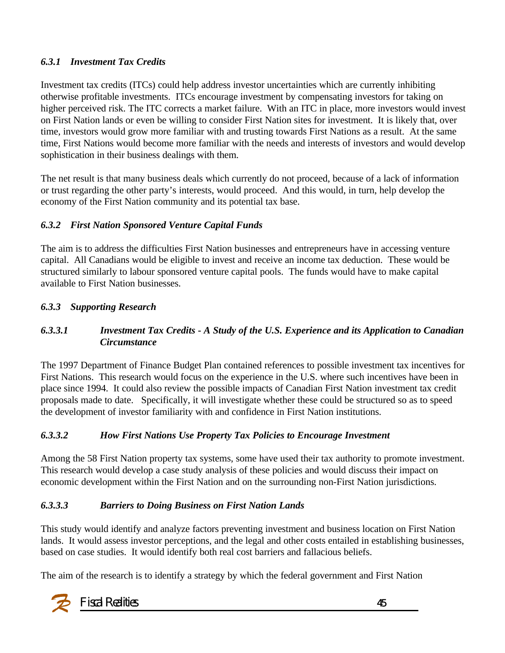#### *6.3.1 Investment Tax Credits*

Investment tax credits (ITCs) could help address investor uncertainties which are currently inhibiting otherwise profitable investments. ITCs encourage investment by compensating investors for taking on higher perceived risk. The ITC corrects a market failure. With an ITC in place, more investors would invest on First Nation lands or even be willing to consider First Nation sites for investment. It is likely that, over time, investors would grow more familiar with and trusting towards First Nations as a result. At the same time, First Nations would become more familiar with the needs and interests of investors and would develop sophistication in their business dealings with them.

The net result is that many business deals which currently do not proceed, because of a lack of information or trust regarding the other party's interests, would proceed. And this would, in turn, help develop the economy of the First Nation community and its potential tax base.

#### *6.3.2 First Nation Sponsored Venture Capital Funds*

The aim is to address the difficulties First Nation businesses and entrepreneurs have in accessing venture capital. All Canadians would be eligible to invest and receive an income tax deduction. These would be structured similarly to labour sponsored venture capital pools. The funds would have to make capital available to First Nation businesses.

#### *6.3.3 Supporting Research*

#### *6.3.3.1 Investment Tax Credits* **-** *A Study of the U.S. Experience and its Application to Canadian Circumstance*

The 1997 Department of Finance Budget Plan contained references to possible investment tax incentives for First Nations. This research would focus on the experience in the U.S. where such incentives have been in place since 1994. It could also review the possible impacts of Canadian First Nation investment tax credit proposals made to date. Specifically, it will investigate whether these could be structured so as to speed the development of investor familiarity with and confidence in First Nation institutions.

#### *6.3.3.2 How First Nations Use Property Tax Policies to Encourage Investment*

Among the 58 First Nation property tax systems, some have used their tax authority to promote investment. This research would develop a case study analysis of these policies and would discuss their impact on economic development within the First Nation and on the surrounding non-First Nation jurisdictions.

#### *6.3.3.3 Barriers to Doing Business on First Nation Lands*

This study would identify and analyze factors preventing investment and business location on First Nation lands. It would assess investor perceptions, and the legal and other costs entailed in establishing businesses, based on case studies. It would identify both real cost barriers and fallacious beliefs.

The aim of the research is to identify a strategy by which the federal government and First Nation

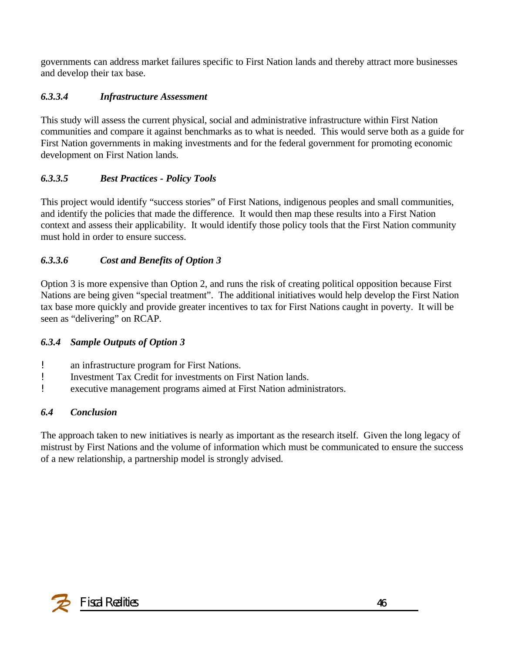governments can address market failures specific to First Nation lands and thereby attract more businesses and develop their tax base.

### *6.3.3.4 Infrastructure Assessment*

This study will assess the current physical, social and administrative infrastructure within First Nation communities and compare it against benchmarks as to what is needed. This would serve both as a guide for First Nation governments in making investments and for the federal government for promoting economic development on First Nation lands.

### *6.3.3.5 Best Practices - Policy Tools*

This project would identify "success stories" of First Nations, indigenous peoples and small communities, and identify the policies that made the difference. It would then map these results into a First Nation context and assess their applicability. It would identify those policy tools that the First Nation community must hold in order to ensure success.

### *6.3.3.6 Cost and Benefits of Option 3*

Option 3 is more expensive than Option 2, and runs the risk of creating political opposition because First Nations are being given "special treatment". The additional initiatives would help develop the First Nation tax base more quickly and provide greater incentives to tax for First Nations caught in poverty. It will be seen as "delivering" on RCAP.

#### *6.3.4 Sample Outputs of Option 3*

- ! an infrastructure program for First Nations.
- ! Investment Tax Credit for investments on First Nation lands.
- ! executive management programs aimed at First Nation administrators.

#### *6.4 Conclusion*

The approach taken to new initiatives is nearly as important as the research itself. Given the long legacy of mistrust by First Nations and the volume of information which must be communicated to ensure the success of a new relationship, a partnership model is strongly advised.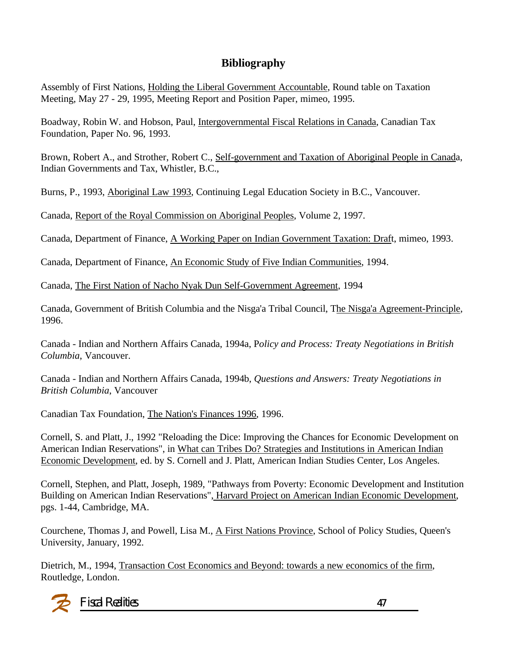### **Bibliography**

Assembly of First Nations, Holding the Liberal Government Accountable, Round table on Taxation Meeting, May 27 - 29, 1995, Meeting Report and Position Paper, mimeo, 1995.

Boadway, Robin W. and Hobson, Paul, Intergovernmental Fiscal Relations in Canada, Canadian Tax Foundation, Paper No. 96, 1993.

Brown, Robert A., and Strother, Robert C., Self-government and Taxation of Aboriginal People in Canada, Indian Governments and Tax, Whistler, B.C.,

Burns, P., 1993, Aboriginal Law 1993, Continuing Legal Education Society in B.C., Vancouver.

Canada, Report of the Royal Commission on Aboriginal Peoples, Volume 2, 1997.

Canada, Department of Finance, A Working Paper on Indian Government Taxation: Draft, mimeo, 1993.

Canada, Department of Finance, An Economic Study of Five Indian Communities, 1994.

Canada, The First Nation of Nacho Nyak Dun Self-Government Agreement, 1994

Canada, Government of British Columbia and the Nisga'a Tribal Council, The Nisga'a Agreement-Principle, 1996.

Canada - Indian and Northern Affairs Canada, 1994a, P*olicy and Process: Treaty Negotiations in British Columbia*, Vancouver.

Canada - Indian and Northern Affairs Canada, 1994b, *Questions and Answers: Treaty Negotiations in British Columbia*, Vancouver

Canadian Tax Foundation, The Nation's Finances 1996, 1996.

Cornell, S. and Platt, J., 1992 "Reloading the Dice: Improving the Chances for Economic Development on American Indian Reservations", in What can Tribes Do? Strategies and Institutions in American Indian Economic Development, ed. by S. Cornell and J. Platt, American Indian Studies Center, Los Angeles.

Cornell, Stephen, and Platt, Joseph, 1989, "Pathways from Poverty: Economic Development and Institution Building on American Indian Reservations", Harvard Project on American Indian Economic Development, pgs. 1-44, Cambridge, MA.

Courchene, Thomas J, and Powell, Lisa M., A First Nations Province, School of Policy Studies, Queen's University, January, 1992.

Dietrich, M., 1994, Transaction Cost Economics and Beyond: towards a new economics of the firm, Routledge, London.

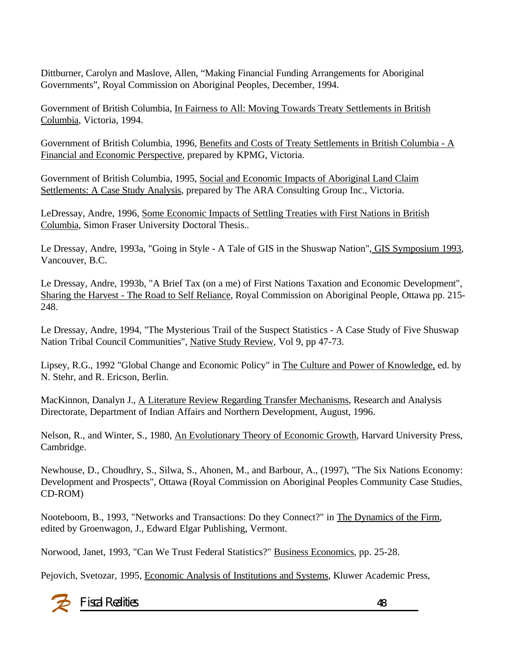Dittburner, Carolyn and Maslove, Allen, "Making Financial Funding Arrangements for Aboriginal Governments", Royal Commission on Aboriginal Peoples, December, 1994.

Government of British Columbia, In Fairness to All: Moving Towards Treaty Settlements in British Columbia, Victoria, 1994.

Government of British Columbia, 1996, Benefits and Costs of Treaty Settlements in British Columbia - A Financial and Economic Perspective, prepared by KPMG, Victoria.

Government of British Columbia, 1995, Social and Economic Impacts of Aboriginal Land Claim Settlements: A Case Study Analysis, prepared by The ARA Consulting Group Inc., Victoria.

LeDressay, Andre, 1996, Some Economic Impacts of Settling Treaties with First Nations in British Columbia, Simon Fraser University Doctoral Thesis..

Le Dressay, Andre, 1993a, "Going in Style - A Tale of GIS in the Shuswap Nation", GIS Symposium 1993, Vancouver, B.C.

Le Dressay, Andre, 1993b, "A Brief Tax (on a me) of First Nations Taxation and Economic Development", Sharing the Harvest - The Road to Self Reliance, Royal Commission on Aboriginal People, Ottawa pp. 215- 248.

Le Dressay, Andre, 1994, "The Mysterious Trail of the Suspect Statistics - A Case Study of Five Shuswap Nation Tribal Council Communities", Native Study Review, Vol 9, pp 47-73.

Lipsey, R.G., 1992 "Global Change and Economic Policy" in The Culture and Power of Knowledge, ed. by N. Stehr, and R. Ericson, Berlin.

MacKinnon, Danalyn J., A Literature Review Regarding Transfer Mechanisms, Research and Analysis Directorate, Department of Indian Affairs and Northern Development, August, 1996.

Nelson, R., and Winter, S., 1980, An Evolutionary Theory of Economic Growth, Harvard University Press, Cambridge.

Newhouse, D., Choudhry, S., Silwa, S., Ahonen, M., and Barbour, A., (1997), "The Six Nations Economy: Development and Prospects", Ottawa (Royal Commission on Aboriginal Peoples Community Case Studies, CD-ROM)

Nooteboom, B., 1993, "Networks and Transactions: Do they Connect?" in The Dynamics of the Firm, edited by Groenwagon, J., Edward Elgar Publishing, Vermont.

Norwood, Janet, 1993, "Can We Trust Federal Statistics?" Business Economics, pp. 25-28.

Pejovich, Svetozar, 1995, Economic Analysis of Institutions and Systems, Kluwer Academic Press,



Fiscal Realities 48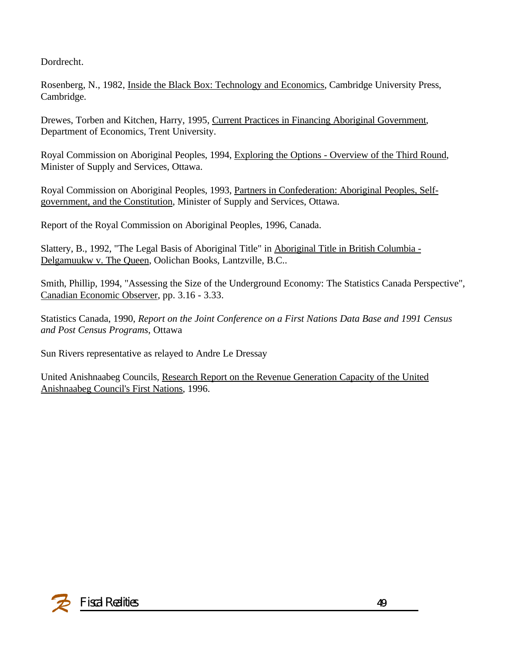Dordrecht.

Rosenberg, N., 1982, Inside the Black Box: Technology and Economics, Cambridge University Press, Cambridge.

Drewes, Torben and Kitchen, Harry, 1995, Current Practices in Financing Aboriginal Government, Department of Economics, Trent University.

Royal Commission on Aboriginal Peoples, 1994, Exploring the Options - Overview of the Third Round, Minister of Supply and Services, Ottawa.

Royal Commission on Aboriginal Peoples, 1993, Partners in Confederation: Aboriginal Peoples, Selfgovernment, and the Constitution, Minister of Supply and Services, Ottawa.

Report of the Royal Commission on Aboriginal Peoples, 1996, Canada.

Slattery, B., 1992, "The Legal Basis of Aboriginal Title" in Aboriginal Title in British Columbia - Delgamuukw v. The Queen, Oolichan Books, Lantzville, B.C..

Smith, Phillip, 1994, "Assessing the Size of the Underground Economy: The Statistics Canada Perspective", Canadian Economic Observer, pp. 3.16 - 3.33.

Statistics Canada, 1990, *Report on the Joint Conference on a First Nations Data Base and 1991 Census and Post Census Programs*, Ottawa

Sun Rivers representative as relayed to Andre Le Dressay

United Anishnaabeg Councils, Research Report on the Revenue Generation Capacity of the United Anishnaabeg Council's First Nations, 1996.

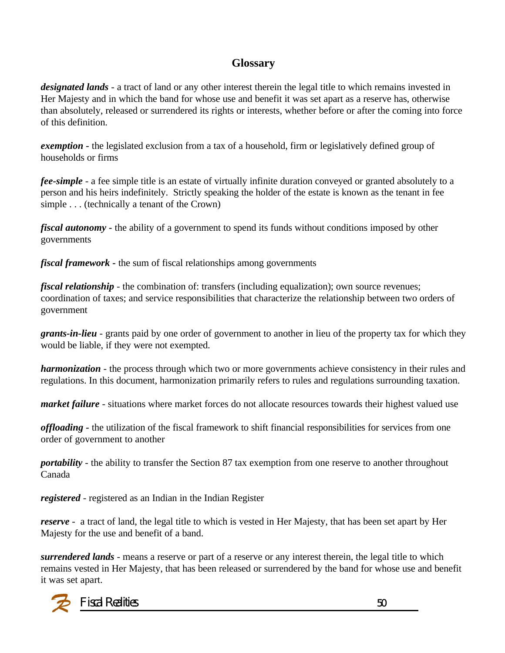### **Glossary**

*designated lands* - a tract of land or any other interest therein the legal title to which remains invested in Her Majesty and in which the band for whose use and benefit it was set apart as a reserve has, otherwise than absolutely, released or surrendered its rights or interests, whether before or after the coming into force of this definition.

*exemption -* the legislated exclusion from a tax of a household, firm or legislatively defined group of households or firms

*fee-simple* - a fee simple title is an estate of virtually infinite duration conveyed or granted absolutely to a person and his heirs indefinitely. Strictly speaking the holder of the estate is known as the tenant in fee simple . . . (technically a tenant of the Crown)

*fiscal autonomy -* the ability of a government to spend its funds without conditions imposed by other governments

*fiscal framework -* the sum of fiscal relationships among governments

*fiscal relationship* - the combination of: transfers (including equalization); own source revenues; coordination of taxes; and service responsibilities that characterize the relationship between two orders of government

*grants-in-lieu* - grants paid by one order of government to another in lieu of the property tax for which they would be liable, if they were not exempted.

*harmonization* - the process through which two or more governments achieve consistency in their rules and regulations. In this document, harmonization primarily refers to rules and regulations surrounding taxation.

*market failure* - situations where market forces do not allocate resources towards their highest valued use

*offloading -* the utilization of the fiscal framework to shift financial responsibilities for services from one order of government to another

*portability* - the ability to transfer the Section 87 tax exemption from one reserve to another throughout Canada

*registered* - registered as an Indian in the Indian Register

*reserve* - a tract of land, the legal title to which is vested in Her Majesty, that has been set apart by Her Majesty for the use and benefit of a band.

*surrendered lands* - means a reserve or part of a reserve or any interest therein, the legal title to which remains vested in Her Majesty, that has been released or surrendered by the band for whose use and benefit it was set apart.

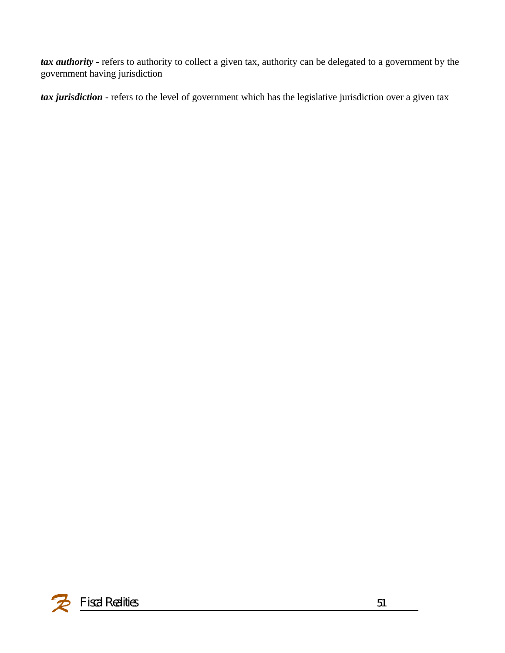*tax authority* - refers to authority to collect a given tax, authority can be delegated to a government by the government having jurisdiction

*tax jurisdiction* - refers to the level of government which has the legislative jurisdiction over a given tax

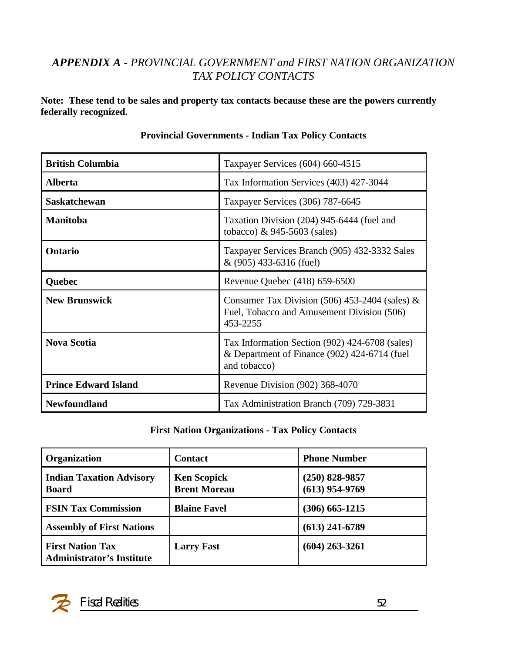### *APPENDIX A - PROVINCIAL GOVERNMENT and FIRST NATION ORGANIZATION TAX POLICY CONTACTS*

**Note: These tend to be sales and property tax contacts because these are the powers currently federally recognized.**

| <b>British Columbia</b>     | Taxpayer Services (604) 660-4515                                                                               |
|-----------------------------|----------------------------------------------------------------------------------------------------------------|
| <b>Alberta</b>              | Tax Information Services (403) 427-3044                                                                        |
| <b>Saskatchewan</b>         | Taxpayer Services (306) 787-6645                                                                               |
| <b>Manitoba</b>             | Taxation Division (204) 945-6444 (fuel and<br>tobacco) $\&$ 945-5603 (sales)                                   |
| Ontario                     | Taxpayer Services Branch (905) 432-3332 Sales<br>$& (905)$ 433-6316 (fuel)                                     |
| Quebec                      | Revenue Quebec (418) 659-6500                                                                                  |
| <b>New Brunswick</b>        | Consumer Tax Division (506) 453-2404 (sales) $\&$<br>Fuel, Tobacco and Amusement Division (506)<br>453-2255    |
| <b>Nova Scotia</b>          | Tax Information Section (902) 424-6708 (sales)<br>& Department of Finance (902) 424-6714 (fuel<br>and tobacco) |
| <b>Prince Edward Island</b> | Revenue Division (902) 368-4070                                                                                |
| <b>Newfoundland</b>         | Tax Administration Branch (709) 729-3831                                                                       |

#### **Provincial Governments - Indian Tax Policy Contacts**

#### **First Nation Organizations - Tax Policy Contacts**

| Organization                                                | <b>Contact</b>                            | <b>Phone Number</b>                  |
|-------------------------------------------------------------|-------------------------------------------|--------------------------------------|
| <b>Indian Taxation Advisory</b><br><b>Board</b>             | <b>Ken Scopick</b><br><b>Brent Moreau</b> | $(250)$ 828-9857<br>$(613)$ 954-9769 |
| <b>FSIN Tax Commission</b>                                  | <b>Blaine Favel</b>                       | $(306)$ 665-1215                     |
| <b>Assembly of First Nations</b>                            |                                           | $(613)$ 241-6789                     |
| <b>First Nation Tax</b><br><b>Administrator's Institute</b> | <b>Larry Fast</b>                         | $(604)$ 263-3261                     |

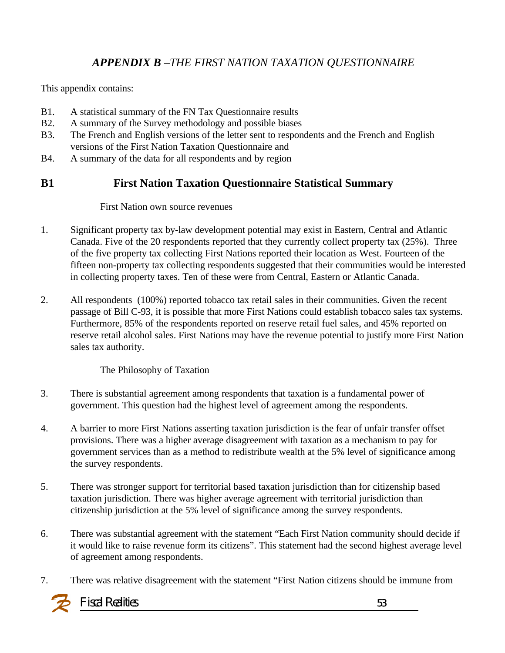### *APPENDIX B –THE FIRST NATION TAXATION QUESTIONNAIRE*

This appendix contains:

- B1. A statistical summary of the FN Tax Questionnaire results
- B2. A summary of the Survey methodology and possible biases
- B3. The French and English versions of the letter sent to respondents and the French and English versions of the First Nation Taxation Questionnaire and
- B4. A summary of the data for all respondents and by region

### **B1 First Nation Taxation Questionnaire Statistical Summary**

#### First Nation own source revenues

- 1. Significant property tax by-law development potential may exist in Eastern, Central and Atlantic Canada. Five of the 20 respondents reported that they currently collect property tax (25%). Three of the five property tax collecting First Nations reported their location as West. Fourteen of the fifteen non-property tax collecting respondents suggested that their communities would be interested in collecting property taxes. Ten of these were from Central, Eastern or Atlantic Canada.
- 2. All respondents (100%) reported tobacco tax retail sales in their communities. Given the recent passage of Bill C-93, it is possible that more First Nations could establish tobacco sales tax systems. Furthermore, 85% of the respondents reported on reserve retail fuel sales, and 45% reported on reserve retail alcohol sales. First Nations may have the revenue potential to justify more First Nation sales tax authority.

#### The Philosophy of Taxation

- 3. There is substantial agreement among respondents that taxation is a fundamental power of government. This question had the highest level of agreement among the respondents.
- 4. A barrier to more First Nations asserting taxation jurisdiction is the fear of unfair transfer offset provisions. There was a higher average disagreement with taxation as a mechanism to pay for government services than as a method to redistribute wealth at the 5% level of significance among the survey respondents.
- 5. There was stronger support for territorial based taxation jurisdiction than for citizenship based taxation jurisdiction. There was higher average agreement with territorial jurisdiction than citizenship jurisdiction at the 5% level of significance among the survey respondents.
- 6. There was substantial agreement with the statement "Each First Nation community should decide if it would like to raise revenue form its citizens". This statement had the second highest average level of agreement among respondents.
- 7. There was relative disagreement with the statement "First Nation citizens should be immune from

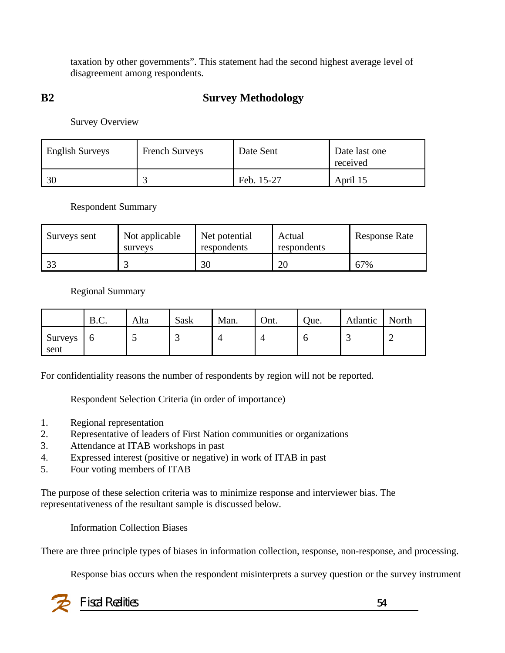taxation by other governments". This statement had the second highest average level of disagreement among respondents.

### **B2 Survey Methodology**

Survey Overview

| <b>English Surveys</b> | <b>French Surveys</b> | Date Sent  | Date last one<br>received |
|------------------------|-----------------------|------------|---------------------------|
| 30                     |                       | Feb. 15-27 | April 15                  |

Respondent Summary

| Surveys sent  | Not applicable<br>surveys | Net potential<br>respondents | Actual<br>respondents | <b>Response Rate</b> |
|---------------|---------------------------|------------------------------|-----------------------|----------------------|
| $\mathcal{D}$ |                           | 30                           | 20                    | 67%                  |

Regional Summary

|                        | B.C. | Alta | Sask | Man. | Ont. | Que. | Atlantic | North |
|------------------------|------|------|------|------|------|------|----------|-------|
| <b>Surveys</b><br>sent | υ    |      | ٮ    | 4    |      | υ    | ت        |       |

For confidentiality reasons the number of respondents by region will not be reported.

Respondent Selection Criteria (in order of importance)

- 1. Regional representation
- 2. Representative of leaders of First Nation communities or organizations
- 3. Attendance at ITAB workshops in past
- 4. Expressed interest (positive or negative) in work of ITAB in past
- 5. Four voting members of ITAB

The purpose of these selection criteria was to minimize response and interviewer bias. The representativeness of the resultant sample is discussed below.

Information Collection Biases

There are three principle types of biases in information collection, response, non-response, and processing.

Response bias occurs when the respondent misinterprets a survey question or the survey instrument

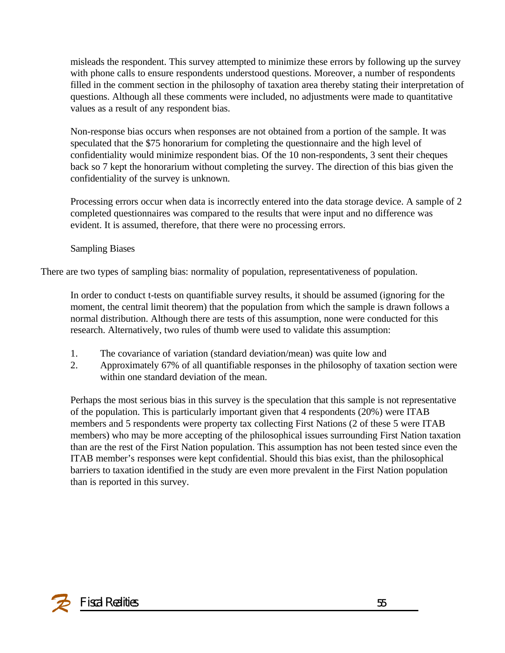misleads the respondent. This survey attempted to minimize these errors by following up the survey with phone calls to ensure respondents understood questions. Moreover, a number of respondents filled in the comment section in the philosophy of taxation area thereby stating their interpretation of questions. Although all these comments were included, no adjustments were made to quantitative values as a result of any respondent bias.

Non-response bias occurs when responses are not obtained from a portion of the sample. It was speculated that the \$75 honorarium for completing the questionnaire and the high level of confidentiality would minimize respondent bias. Of the 10 non-respondents, 3 sent their cheques back so 7 kept the honorarium without completing the survey. The direction of this bias given the confidentiality of the survey is unknown.

Processing errors occur when data is incorrectly entered into the data storage device. A sample of 2 completed questionnaires was compared to the results that were input and no difference was evident. It is assumed, therefore, that there were no processing errors.

Sampling Biases

There are two types of sampling bias: normality of population, representativeness of population.

In order to conduct t-tests on quantifiable survey results, it should be assumed (ignoring for the moment, the central limit theorem) that the population from which the sample is drawn follows a normal distribution. Although there are tests of this assumption, none were conducted for this research. Alternatively, two rules of thumb were used to validate this assumption:

- 1. The covariance of variation (standard deviation/mean) was quite low and
- 2. Approximately 67% of all quantifiable responses in the philosophy of taxation section were within one standard deviation of the mean.

Perhaps the most serious bias in this survey is the speculation that this sample is not representative of the population. This is particularly important given that 4 respondents (20%) were ITAB members and 5 respondents were property tax collecting First Nations (2 of these 5 were ITAB members) who may be more accepting of the philosophical issues surrounding First Nation taxation than are the rest of the First Nation population. This assumption has not been tested since even the ITAB member's responses were kept confidential. Should this bias exist, than the philosophical barriers to taxation identified in the study are even more prevalent in the First Nation population than is reported in this survey.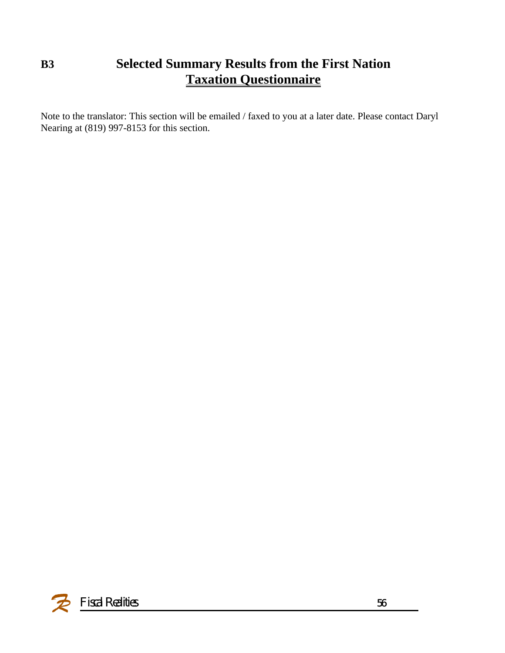# **B3 Selected Summary Results from the First Nation Taxation Questionnaire**

Note to the translator: This section will be emailed / faxed to you at a later date. Please contact Daryl Nearing at (819) 997-8153 for this section.

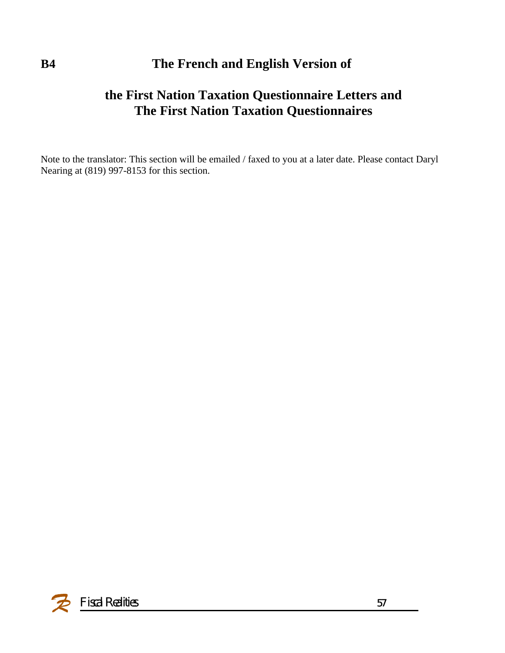# **B4 The French and English Version of**

# **the First Nation Taxation Questionnaire Letters and The First Nation Taxation Questionnaires**

Note to the translator: This section will be emailed / faxed to you at a later date. Please contact Daryl Nearing at (819) 997-8153 for this section.

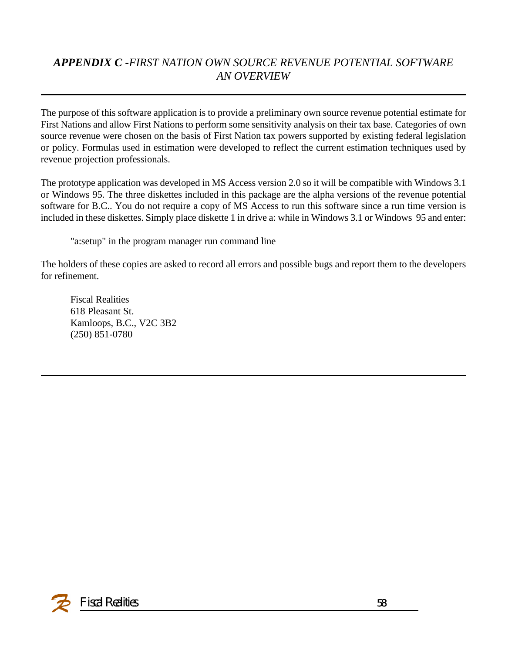## *APPENDIX C -FIRST NATION OWN SOURCE REVENUE POTENTIAL SOFTWARE AN OVERVIEW*

The purpose of this software application is to provide a preliminary own source revenue potential estimate for First Nations and allow First Nations to perform some sensitivity analysis on their tax base. Categories of own source revenue were chosen on the basis of First Nation tax powers supported by existing federal legislation or policy. Formulas used in estimation were developed to reflect the current estimation techniques used by revenue projection professionals.

The prototype application was developed in MS Access version 2.0 so it will be compatible with Windows 3.1 or Windows 95. The three diskettes included in this package are the alpha versions of the revenue potential software for B.C.. You do not require a copy of MS Access to run this software since a run time version is included in these diskettes. Simply place diskette 1 in drive a: while in Windows 3.1 or Windows 95 and enter:

"a:setup" in the program manager run command line

The holders of these copies are asked to record all errors and possible bugs and report them to the developers for refinement.

Fiscal Realities 618 Pleasant St. Kamloops, B.C., V2C 3B2 (250) 851-0780

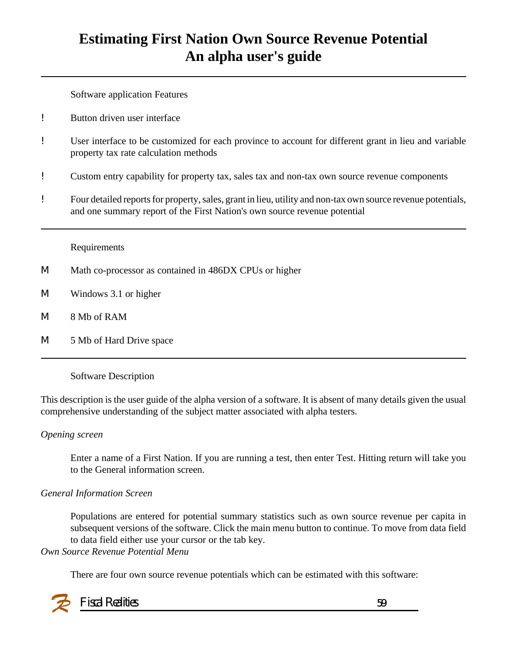# **Estimating First Nation Own Source Revenue Potential An alpha user's guide**

Software application Features

- ! Button driven user interface
- ! User interface to be customized for each province to account for different grant in lieu and variable property tax rate calculation methods
- ! Custom entry capability for property tax, sales tax and non-tax own source revenue components
- ! Four detailed reports for property, sales, grant in lieu, utility and non-tax own source revenue potentials, and one summary report of the First Nation's own source revenue potential

Requirements

- M Math co-processor as contained in 486DX CPUs or higher
- M Windows 3.1 or higher
- M 8 Mb of RAM
- M 5 Mb of Hard Drive space

#### Software Description

This description is the user guide of the alpha version of a software. It is absent of many details given the usual comprehensive understanding of the subject matter associated with alpha testers.

#### *Opening screen*

Enter a name of a First Nation. If you are running a test, then enter Test. Hitting return will take you to the General information screen.

#### *General Information Screen*

Populations are entered for potential summary statistics such as own source revenue per capita in subsequent versions of the software. Click the main menu button to continue. To move from data field to data field either use your cursor or the tab key.

#### *Own Source Revenue Potential Menu*

There are four own source revenue potentials which can be estimated with this software:

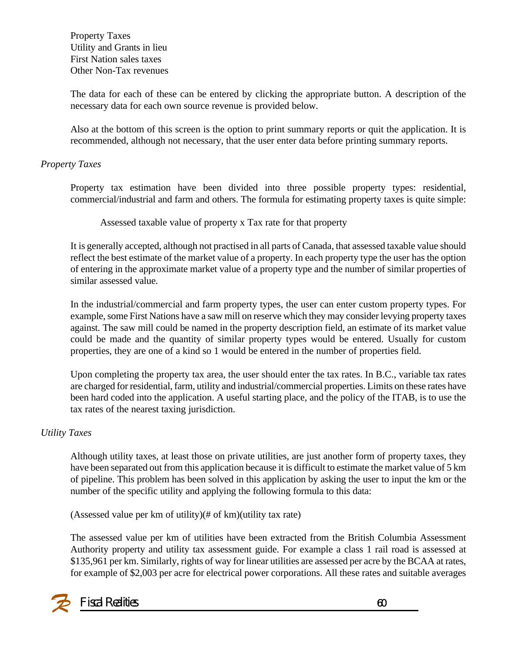Property Taxes Utility and Grants in lieu First Nation sales taxes Other Non-Tax revenues

The data for each of these can be entered by clicking the appropriate button. A description of the necessary data for each own source revenue is provided below.

Also at the bottom of this screen is the option to print summary reports or quit the application. It is recommended, although not necessary, that the user enter data before printing summary reports.

#### *Property Taxes*

Property tax estimation have been divided into three possible property types: residential, commercial/industrial and farm and others. The formula for estimating property taxes is quite simple:

Assessed taxable value of property x Tax rate for that property

It is generally accepted, although not practised in all parts of Canada, that assessed taxable value should reflect the best estimate of the market value of a property. In each property type the user has the option of entering in the approximate market value of a property type and the number of similar properties of similar assessed value.

In the industrial/commercial and farm property types, the user can enter custom property types. For example, some First Nations have a saw mill on reserve which they may consider levying property taxes against. The saw mill could be named in the property description field, an estimate of its market value could be made and the quantity of similar property types would be entered. Usually for custom properties, they are one of a kind so 1 would be entered in the number of properties field.

Upon completing the property tax area, the user should enter the tax rates. In B.C., variable tax rates are charged for residential, farm, utility and industrial/commercial properties. Limits on these rates have been hard coded into the application. A useful starting place, and the policy of the ITAB, is to use the tax rates of the nearest taxing jurisdiction.

#### *Utility Taxes*

Although utility taxes, at least those on private utilities, are just another form of property taxes, they have been separated out from this application because it is difficult to estimate the market value of 5 km of pipeline. This problem has been solved in this application by asking the user to input the km or the number of the specific utility and applying the following formula to this data:

(Assessed value per km of utility)(# of km)(utility tax rate)

The assessed value per km of utilities have been extracted from the British Columbia Assessment Authority property and utility tax assessment guide. For example a class 1 rail road is assessed at \$135,961 per km. Similarly, rights of way for linear utilities are assessed per acre by the BCAA at rates, for example of \$2,003 per acre for electrical power corporations. All these rates and suitable averages

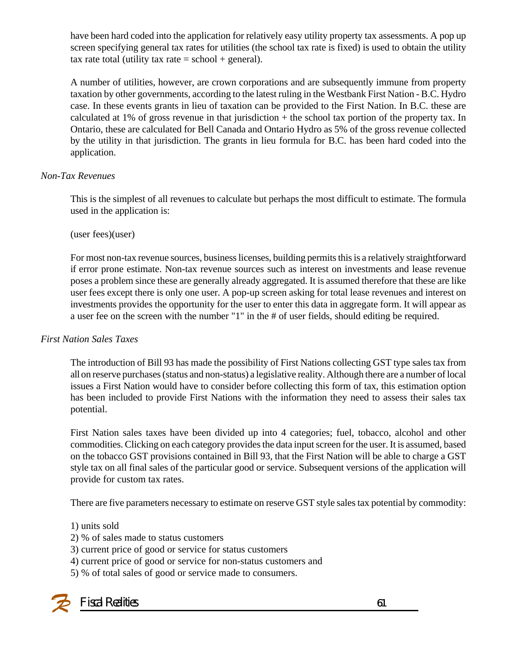have been hard coded into the application for relatively easy utility property tax assessments. A pop up screen specifying general tax rates for utilities (the school tax rate is fixed) is used to obtain the utility tax rate total (utility tax rate  $=$  school  $+$  general).

A number of utilities, however, are crown corporations and are subsequently immune from property taxation by other governments, according to the latest ruling in the Westbank First Nation - B.C. Hydro case. In these events grants in lieu of taxation can be provided to the First Nation. In B.C. these are calculated at 1% of gross revenue in that jurisdiction  $+$  the school tax portion of the property tax. In Ontario, these are calculated for Bell Canada and Ontario Hydro as 5% of the gross revenue collected by the utility in that jurisdiction. The grants in lieu formula for B.C. has been hard coded into the application.

#### *Non-Tax Revenues*

This is the simplest of all revenues to calculate but perhaps the most difficult to estimate. The formula used in the application is:

(user fees)(user)

For most non-tax revenue sources, business licenses, building permits this is a relatively straightforward if error prone estimate. Non-tax revenue sources such as interest on investments and lease revenue poses a problem since these are generally already aggregated. It is assumed therefore that these are like user fees except there is only one user. A pop-up screen asking for total lease revenues and interest on investments provides the opportunity for the user to enter this data in aggregate form. It will appear as a user fee on the screen with the number "1" in the # of user fields, should editing be required.

#### *First Nation Sales Taxes*

The introduction of Bill 93 has made the possibility of First Nations collecting GST type sales tax from all on reserve purchases (status and non-status) a legislative reality. Although there are a number of local issues a First Nation would have to consider before collecting this form of tax, this estimation option has been included to provide First Nations with the information they need to assess their sales tax potential.

First Nation sales taxes have been divided up into 4 categories; fuel, tobacco, alcohol and other commodities. Clicking on each category provides the data input screen for the user. It is assumed, based on the tobacco GST provisions contained in Bill 93, that the First Nation will be able to charge a GST style tax on all final sales of the particular good or service. Subsequent versions of the application will provide for custom tax rates.

There are five parameters necessary to estimate on reserve GST style sales tax potential by commodity:

#### 1) units sold

- 2) % of sales made to status customers
- 3) current price of good or service for status customers
- 4) current price of good or service for non-status customers and
- 5) % of total sales of good or service made to consumers.